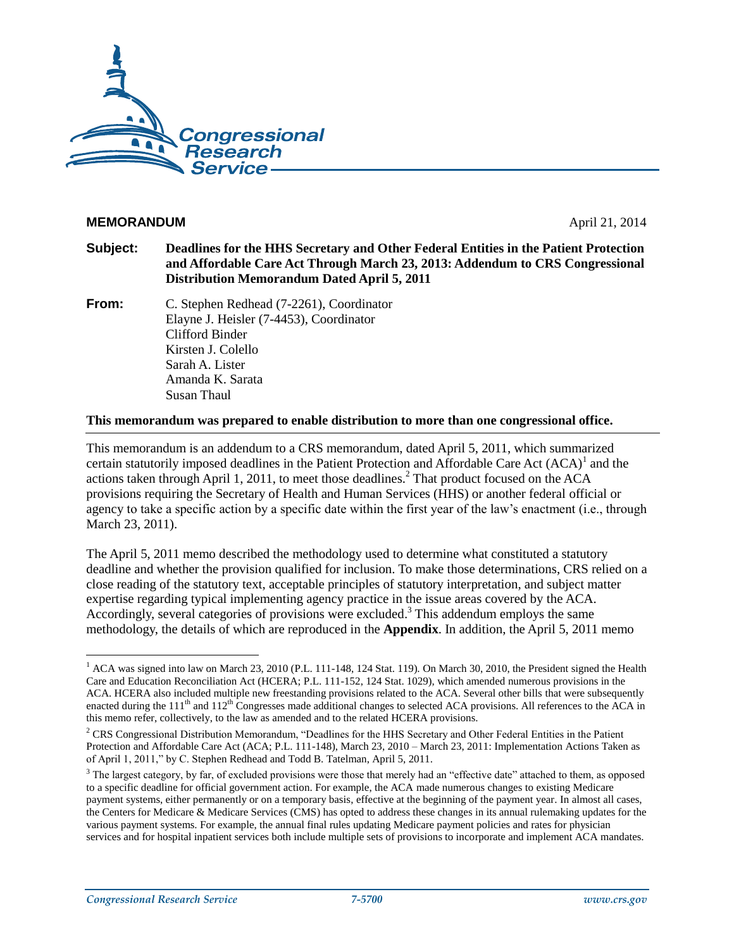

#### **MEMORANDUM** April 21, 2014

- **Subject: Deadlines for the HHS Secretary and Other Federal Entities in the Patient Protection and Affordable Care Act Through March 23, 2013: Addendum to CRS Congressional Distribution Memorandum Dated April 5, 2011**
- **From:** C. Stephen Redhead (7-2261), Coordinator Elayne J. Heisler (7-4453), Coordinator Clifford Binder Kirsten J. Colello Sarah A. Lister Amanda K. Sarata Susan Thaul

#### **This memorandum was prepared to enable distribution to more than one congressional office.**

This memorandum is an addendum to a CRS memorandum, dated April 5, 2011, which summarized certain statutorily imposed deadlines in the Patient Protection and Affordable Care Act (ACA)<sup>1</sup> and the actions taken through April 1, 2011, to meet those deadlines.<sup>2</sup> That product focused on the ACA provisions requiring the Secretary of Health and Human Services (HHS) or another federal official or agency to take a specific action by a specific date within the first year of the law's enactment (i.e., through March 23, 2011).

The April 5, 2011 memo described the methodology used to determine what constituted a statutory deadline and whether the provision qualified for inclusion. To make those determinations, CRS relied on a close reading of the statutory text, acceptable principles of statutory interpretation, and subject matter expertise regarding typical implementing agency practice in the issue areas covered by the ACA. Accordingly, several categories of provisions were excluded. <sup>3</sup> This addendum employs the same methodology, the details of which are reproduced in the **[Appendix](#page-17-0)**. In addition, the April 5, 2011 memo

 $\overline{a}$ 

 $1$  ACA was signed into law on March 23, 2010 [\(P.L. 111-148,](http://www.congress.gov/cgi-lis/bdquery/R?d111:FLD002:@1(111+148)) 124 Stat. 119). On March 30, 2010, the President signed the Health Care and Education Reconciliation Act (HCERA; [P.L. 111-152,](http://www.congress.gov/cgi-lis/bdquery/R?d111:FLD002:@1(111+152)) 124 Stat. 1029), which amended numerous provisions in the ACA. HCERA also included multiple new freestanding provisions related to the ACA. Several other bills that were subsequently enacted during the  $111<sup>th</sup>$  and  $112<sup>th</sup>$  Congresses made additional changes to selected ACA provisions. All references to the ACA in this memo refer, collectively, to the law as amended and to the related HCERA provisions.

<sup>2</sup> CRS Congressional Distribution Memorandum, "Deadlines for the HHS Secretary and Other Federal Entities in the Patient Protection and Affordable Care Act (ACA; P.L. 111-148), March 23, 2010 – March 23, 2011: Implementation Actions Taken as of April 1, 2011," by C. Stephen Redhead and Todd B. Tatelman, April 5, 2011.

<sup>&</sup>lt;sup>3</sup> The largest category, by far, of excluded provisions were those that merely had an "effective date" attached to them, as opposed to a specific deadline for official government action. For example, the ACA made numerous changes to existing Medicare payment systems, either permanently or on a temporary basis, effective at the beginning of the payment year. In almost all cases, the Centers for Medicare & Medicare Services (CMS) has opted to address these changes in its annual rulemaking updates for the various payment systems. For example, the annual final rules updating Medicare payment policies and rates for physician services and for hospital inpatient services both include multiple sets of provisions to incorporate and implement ACA mandates.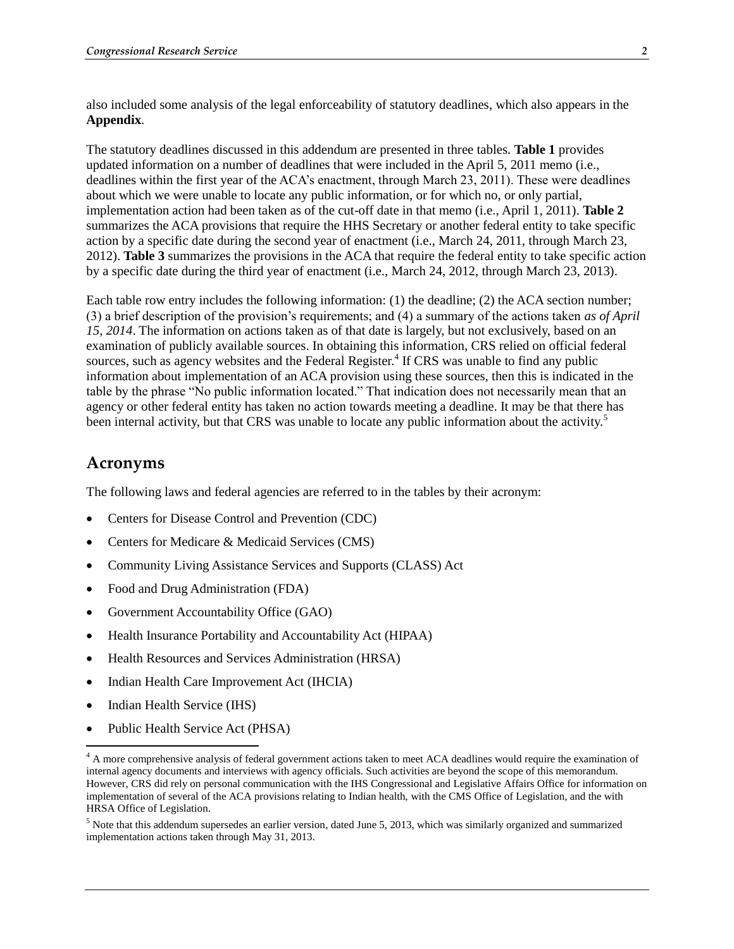also included some analysis of the legal enforceability of statutory deadlines, which also appears in the **[Appendix](#page-17-0)**.

The statutory deadlines discussed in this addendum are presented in three tables. **Table 1** provides updated information on a number of deadlines that were included in the April 5, 2011 memo (i.e., deadlines within the first year of the ACA's enactment, through March 23, 2011). These were deadlines about which we were unable to locate any public information, or for which no, or only partial, implementation action had been taken as of the cut-off date in that memo (i.e., April 1, 2011). **Table 2** summarizes the ACA provisions that require the HHS Secretary or another federal entity to take specific action by a specific date during the second year of enactment (i.e., March 24, 2011, through March 23, 2012). **Table 3** summarizes the provisions in the ACA that require the federal entity to take specific action by a specific date during the third year of enactment (i.e., March 24, 2012, through March 23, 2013).

Each table row entry includes the following information: (1) the deadline; (2) the ACA section number; (3) a brief description of the provision's requirements; and (4) a summary of the actions taken *as of April 15, 2014*. The information on actions taken as of that date is largely, but not exclusively, based on an examination of publicly available sources. In obtaining this information, CRS relied on official federal sources, such as agency websites and the Federal Register.<sup>4</sup> If CRS was unable to find any public information about implementation of an ACA provision using these sources, then this is indicated in the table by the phrase "No public information located." That indication does not necessarily mean that an agency or other federal entity has taken no action towards meeting a deadline. It may be that there has been internal activity, but that CRS was unable to locate any public information about the activity.<sup>5</sup>

#### **Acronyms**

The following laws and federal agencies are referred to in the tables by their acronym:

- Centers for Disease Control and Prevention (CDC)
- Centers for Medicare & Medicaid Services (CMS)
- Community Living Assistance Services and Supports (CLASS) Act
- Food and Drug Administration (FDA)
- Government Accountability Office (GAO)
- Health Insurance Portability and Accountability Act (HIPAA)
- Health Resources and Services Administration (HRSA)
- Indian Health Care Improvement Act (IHCIA)
- Indian Health Service (IHS)

 $\overline{a}$ 

• Public Health Service Act (PHSA)

<sup>&</sup>lt;sup>4</sup> A more comprehensive analysis of federal government actions taken to meet ACA deadlines would require the examination of internal agency documents and interviews with agency officials. Such activities are beyond the scope of this memorandum. However, CRS did rely on personal communication with the IHS Congressional and Legislative Affairs Office for information on implementation of several of the ACA provisions relating to Indian health, with the CMS Office of Legislation, and the with HRSA Office of Legislation.

<sup>5</sup> Note that this addendum supersedes an earlier version, dated June 5, 2013, which was similarly organized and summarized implementation actions taken through May 31, 2013.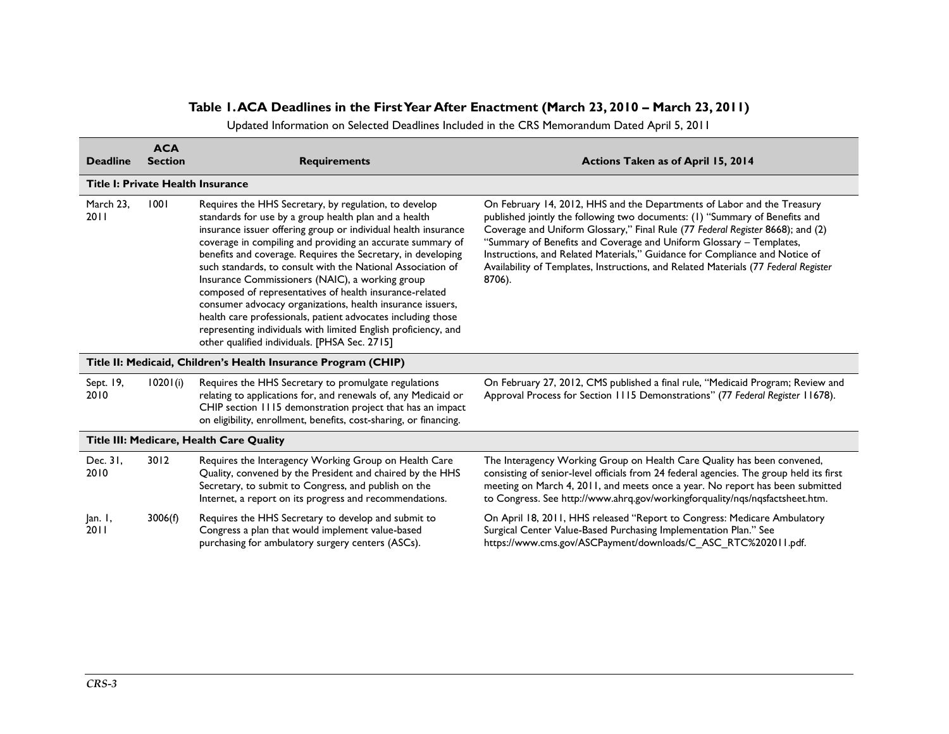## **Table 1. ACA Deadlines in the First Year After Enactment (March 23, 2010 – March 23, 2011)**

Updated Information on Selected Deadlines Included in the CRS Memorandum Dated April 5, 2011

| <b>Deadline</b>   | <b>ACA</b><br><b>Section</b> | <b>Requirements</b>                                                                                                                                                                                                                                                                                                                                                                                                                                                                                                                                                                                                                                                                                                                          | Actions Taken as of April 15, 2014                                                                                                                                                                                                                                                                                                                                                                                                                                                              |
|-------------------|------------------------------|----------------------------------------------------------------------------------------------------------------------------------------------------------------------------------------------------------------------------------------------------------------------------------------------------------------------------------------------------------------------------------------------------------------------------------------------------------------------------------------------------------------------------------------------------------------------------------------------------------------------------------------------------------------------------------------------------------------------------------------------|-------------------------------------------------------------------------------------------------------------------------------------------------------------------------------------------------------------------------------------------------------------------------------------------------------------------------------------------------------------------------------------------------------------------------------------------------------------------------------------------------|
|                   |                              | Title I: Private Health Insurance                                                                                                                                                                                                                                                                                                                                                                                                                                                                                                                                                                                                                                                                                                            |                                                                                                                                                                                                                                                                                                                                                                                                                                                                                                 |
| March 23,<br>2011 | 1001                         | Requires the HHS Secretary, by regulation, to develop<br>standards for use by a group health plan and a health<br>insurance issuer offering group or individual health insurance<br>coverage in compiling and providing an accurate summary of<br>benefits and coverage. Requires the Secretary, in developing<br>such standards, to consult with the National Association of<br>Insurance Commissioners (NAIC), a working group<br>composed of representatives of health insurance-related<br>consumer advocacy organizations, health insurance issuers,<br>health care professionals, patient advocates including those<br>representing individuals with limited English proficiency, and<br>other qualified individuals. [PHSA Sec. 2715] | On February 14, 2012, HHS and the Departments of Labor and the Treasury<br>published jointly the following two documents: (1) "Summary of Benefits and<br>Coverage and Uniform Glossary," Final Rule (77 Federal Register 8668); and (2)<br>"Summary of Benefits and Coverage and Uniform Glossary - Templates,<br>Instructions, and Related Materials," Guidance for Compliance and Notice of<br>Availability of Templates, Instructions, and Related Materials (77 Federal Register<br>8706). |
|                   |                              | Title II: Medicaid, Children's Health Insurance Program (CHIP)                                                                                                                                                                                                                                                                                                                                                                                                                                                                                                                                                                                                                                                                               |                                                                                                                                                                                                                                                                                                                                                                                                                                                                                                 |
| Sept. 19,<br>2010 | 10201(i)                     | Requires the HHS Secretary to promulgate regulations<br>relating to applications for, and renewals of, any Medicaid or<br>CHIP section 1115 demonstration project that has an impact<br>on eligibility, enrollment, benefits, cost-sharing, or financing.                                                                                                                                                                                                                                                                                                                                                                                                                                                                                    | On February 27, 2012, CMS published a final rule, "Medicaid Program; Review and<br>Approval Process for Section 1115 Demonstrations" (77 Federal Register 11678).                                                                                                                                                                                                                                                                                                                               |
|                   |                              | Title III: Medicare, Health Care Quality                                                                                                                                                                                                                                                                                                                                                                                                                                                                                                                                                                                                                                                                                                     |                                                                                                                                                                                                                                                                                                                                                                                                                                                                                                 |
| Dec. 31,<br>2010  | 3012                         | Requires the Interagency Working Group on Health Care<br>Quality, convened by the President and chaired by the HHS<br>Secretary, to submit to Congress, and publish on the<br>Internet, a report on its progress and recommendations.                                                                                                                                                                                                                                                                                                                                                                                                                                                                                                        | The Interagency Working Group on Health Care Quality has been convened,<br>consisting of senior-level officials from 24 federal agencies. The group held its first<br>meeting on March 4, 2011, and meets once a year. No report has been submitted<br>to Congress. See http://www.ahrq.gov/workingforquality/nqs/nqsfactsheet.htm.                                                                                                                                                             |
| an. 1,<br>2011    | 3006(f)                      | Requires the HHS Secretary to develop and submit to<br>Congress a plan that would implement value-based<br>purchasing for ambulatory surgery centers (ASCs).                                                                                                                                                                                                                                                                                                                                                                                                                                                                                                                                                                                 | On April 18, 2011, HHS released "Report to Congress: Medicare Ambulatory<br>Surgical Center Value-Based Purchasing Implementation Plan." See<br>https://www.cms.gov/ASCPayment/downloads/C_ASC_RTC%202011.pdf.                                                                                                                                                                                                                                                                                  |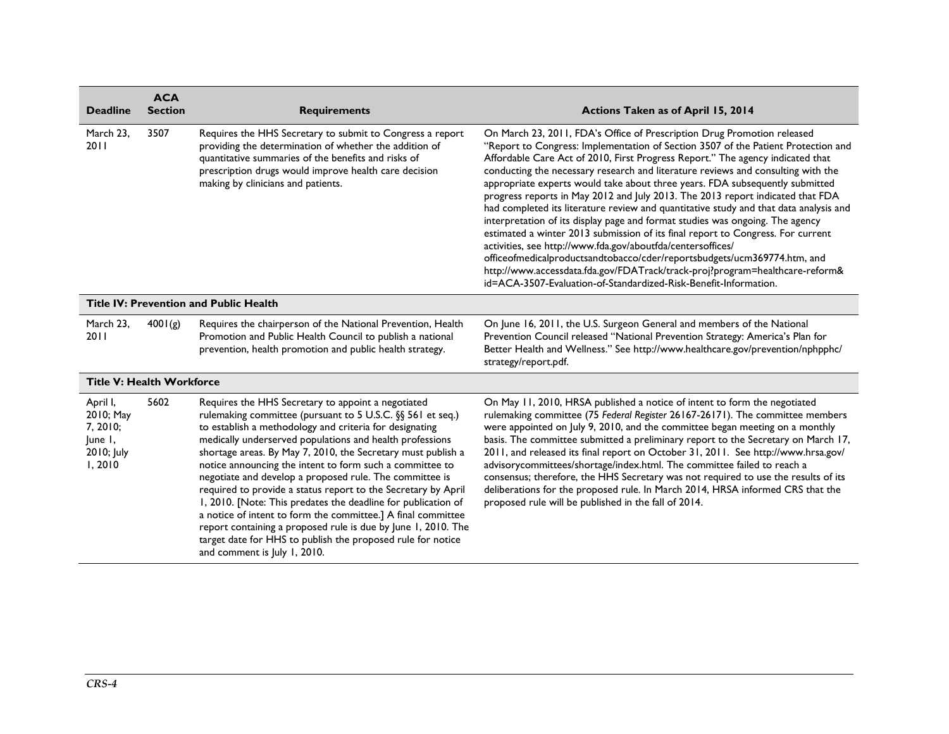| <b>Deadline</b>                                                      | <b>ACA</b><br><b>Section</b> | <b>Requirements</b>                                                                                                                                                                                                                                                                                                                                                                                                                                                                                                                                                                                                                                                                                                                                                                              | Actions Taken as of April 15, 2014                                                                                                                                                                                                                                                                                                                                                                                                                                                                                                                                                                                                                                                                                                                                                                                                                                                                                                                                                                                                                               |
|----------------------------------------------------------------------|------------------------------|--------------------------------------------------------------------------------------------------------------------------------------------------------------------------------------------------------------------------------------------------------------------------------------------------------------------------------------------------------------------------------------------------------------------------------------------------------------------------------------------------------------------------------------------------------------------------------------------------------------------------------------------------------------------------------------------------------------------------------------------------------------------------------------------------|------------------------------------------------------------------------------------------------------------------------------------------------------------------------------------------------------------------------------------------------------------------------------------------------------------------------------------------------------------------------------------------------------------------------------------------------------------------------------------------------------------------------------------------------------------------------------------------------------------------------------------------------------------------------------------------------------------------------------------------------------------------------------------------------------------------------------------------------------------------------------------------------------------------------------------------------------------------------------------------------------------------------------------------------------------------|
| March 23,<br>2011                                                    | 3507                         | Requires the HHS Secretary to submit to Congress a report<br>providing the determination of whether the addition of<br>quantitative summaries of the benefits and risks of<br>prescription drugs would improve health care decision<br>making by clinicians and patients.                                                                                                                                                                                                                                                                                                                                                                                                                                                                                                                        | On March 23, 2011, FDA's Office of Prescription Drug Promotion released<br>"Report to Congress: Implementation of Section 3507 of the Patient Protection and<br>Affordable Care Act of 2010, First Progress Report." The agency indicated that<br>conducting the necessary research and literature reviews and consulting with the<br>appropriate experts would take about three years. FDA subsequently submitted<br>progress reports in May 2012 and July 2013. The 2013 report indicated that FDA<br>had completed its literature review and quantitative study and that data analysis and<br>interpretation of its display page and format studies was ongoing. The agency<br>estimated a winter 2013 submission of its final report to Congress. For current<br>activities, see http://www.fda.gov/aboutfda/centersoffices/<br>officeofmedicalproductsandtobacco/cder/reportsbudgets/ucm369774.htm, and<br>http://www.accessdata.fda.gov/FDATrack/track-proj?program=healthcare-reform&<br>id=ACA-3507-Evaluation-of-Standardized-Risk-Benefit-Information. |
|                                                                      |                              | <b>Title IV: Prevention and Public Health</b>                                                                                                                                                                                                                                                                                                                                                                                                                                                                                                                                                                                                                                                                                                                                                    |                                                                                                                                                                                                                                                                                                                                                                                                                                                                                                                                                                                                                                                                                                                                                                                                                                                                                                                                                                                                                                                                  |
| March 23,<br>2011                                                    | 4001(g)                      | Requires the chairperson of the National Prevention, Health<br>Promotion and Public Health Council to publish a national<br>prevention, health promotion and public health strategy.                                                                                                                                                                                                                                                                                                                                                                                                                                                                                                                                                                                                             | On June 16, 2011, the U.S. Surgeon General and members of the National<br>Prevention Council released "National Prevention Strategy: America's Plan for<br>Better Health and Wellness." See http://www.healthcare.gov/prevention/nphpphc/<br>strategy/report.pdf.                                                                                                                                                                                                                                                                                                                                                                                                                                                                                                                                                                                                                                                                                                                                                                                                |
| <b>Title V: Health Workforce</b>                                     |                              |                                                                                                                                                                                                                                                                                                                                                                                                                                                                                                                                                                                                                                                                                                                                                                                                  |                                                                                                                                                                                                                                                                                                                                                                                                                                                                                                                                                                                                                                                                                                                                                                                                                                                                                                                                                                                                                                                                  |
| April I,<br>2010; May<br>7, 2010;<br>June I,<br>2010; July<br>1,2010 | 5602                         | Requires the HHS Secretary to appoint a negotiated<br>rulemaking committee (pursuant to 5 U.S.C. §§ 561 et seq.)<br>to establish a methodology and criteria for designating<br>medically underserved populations and health professions<br>shortage areas. By May 7, 2010, the Secretary must publish a<br>notice announcing the intent to form such a committee to<br>negotiate and develop a proposed rule. The committee is<br>required to provide a status report to the Secretary by April<br>1, 2010. [Note: This predates the deadline for publication of<br>a notice of intent to form the committee.] A final committee<br>report containing a proposed rule is due by June 1, 2010. The<br>target date for HHS to publish the proposed rule for notice<br>and comment is July 1, 2010. | On May 11, 2010, HRSA published a notice of intent to form the negotiated<br>rulemaking committee (75 Federal Register 26167-26171). The committee members<br>were appointed on July 9, 2010, and the committee began meeting on a monthly<br>basis. The committee submitted a preliminary report to the Secretary on March 17,<br>2011, and released its final report on October 31, 2011. See http://www.hrsa.gov/<br>advisorycommittees/shortage/index.html. The committee failed to reach a<br>consensus; therefore, the HHS Secretary was not required to use the results of its<br>deliberations for the proposed rule. In March 2014, HRSA informed CRS that the<br>proposed rule will be published in the fall of 2014.                                                                                                                                                                                                                                                                                                                                  |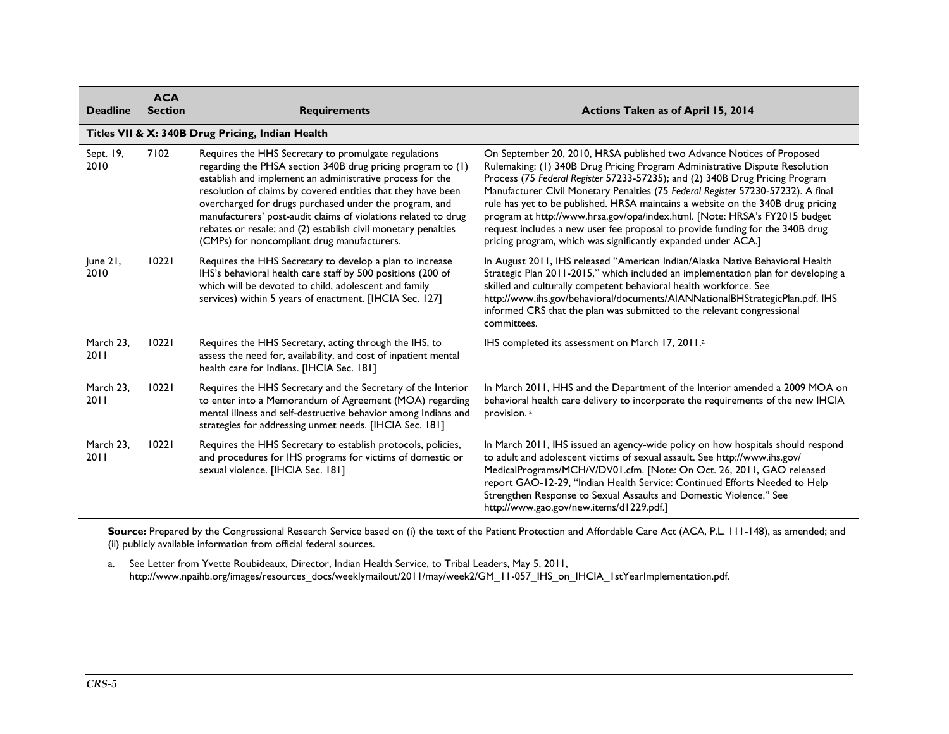| <b>Deadline</b>   | <b>ACA</b><br><b>Section</b> | <b>Requirements</b>                                                                                                                                                                                                                                                                                                                                                                                                                                                                          | Actions Taken as of April 15, 2014                                                                                                                                                                                                                                                                                                                                                                                                                                                                                                                                                                                                          |
|-------------------|------------------------------|----------------------------------------------------------------------------------------------------------------------------------------------------------------------------------------------------------------------------------------------------------------------------------------------------------------------------------------------------------------------------------------------------------------------------------------------------------------------------------------------|---------------------------------------------------------------------------------------------------------------------------------------------------------------------------------------------------------------------------------------------------------------------------------------------------------------------------------------------------------------------------------------------------------------------------------------------------------------------------------------------------------------------------------------------------------------------------------------------------------------------------------------------|
|                   |                              | Titles VII & X: 340B Drug Pricing, Indian Health                                                                                                                                                                                                                                                                                                                                                                                                                                             |                                                                                                                                                                                                                                                                                                                                                                                                                                                                                                                                                                                                                                             |
| Sept. 19,<br>2010 | 7102                         | Requires the HHS Secretary to promulgate regulations<br>regarding the PHSA section 340B drug pricing program to (1)<br>establish and implement an administrative process for the<br>resolution of claims by covered entities that they have been<br>overcharged for drugs purchased under the program, and<br>manufacturers' post-audit claims of violations related to drug<br>rebates or resale; and (2) establish civil monetary penalties<br>(CMPs) for noncompliant drug manufacturers. | On September 20, 2010, HRSA published two Advance Notices of Proposed<br>Rulemaking: (1) 340B Drug Pricing Program Administrative Dispute Resolution<br>Process (75 Federal Register 57233-57235); and (2) 340B Drug Pricing Program<br>Manufacturer Civil Monetary Penalties (75 Federal Register 57230-57232). A final<br>rule has yet to be published. HRSA maintains a website on the 340B drug pricing<br>program at http://www.hrsa.gov/opa/index.html. [Note: HRSA's FY2015 budget<br>request includes a new user fee proposal to provide funding for the 340B drug<br>pricing program, which was significantly expanded under ACA.] |
| June 21,<br>2010  | 10221                        | Requires the HHS Secretary to develop a plan to increase<br>IHS's behavioral health care staff by 500 positions (200 of<br>which will be devoted to child, adolescent and family<br>services) within 5 years of enactment. [IHCIA Sec. 127]                                                                                                                                                                                                                                                  | In August 2011, IHS released "American Indian/Alaska Native Behavioral Health<br>Strategic Plan 2011-2015," which included an implementation plan for developing a<br>skilled and culturally competent behavioral health workforce. See<br>http://www.ihs.gov/behavioral/documents/AIANNationalBHStrategicPlan.pdf. IHS<br>informed CRS that the plan was submitted to the relevant congressional<br>committees.                                                                                                                                                                                                                            |
| March 23,<br>2011 | 10221                        | Requires the HHS Secretary, acting through the IHS, to<br>assess the need for, availability, and cost of inpatient mental<br>health care for Indians. [IHCIA Sec. 181]                                                                                                                                                                                                                                                                                                                       | IHS completed its assessment on March 17, 2011. <sup>a</sup>                                                                                                                                                                                                                                                                                                                                                                                                                                                                                                                                                                                |
| March 23.<br>2011 | 10221                        | Requires the HHS Secretary and the Secretary of the Interior<br>to enter into a Memorandum of Agreement (MOA) regarding<br>mental illness and self-destructive behavior among Indians and<br>strategies for addressing unmet needs. [IHCIA Sec. 181]                                                                                                                                                                                                                                         | In March 2011, HHS and the Department of the Interior amended a 2009 MOA on<br>behavioral health care delivery to incorporate the requirements of the new IHCIA<br>provision. <sup>a</sup>                                                                                                                                                                                                                                                                                                                                                                                                                                                  |
| March 23,<br>2011 | 10221                        | Requires the HHS Secretary to establish protocols, policies,<br>and procedures for IHS programs for victims of domestic or<br>sexual violence. [IHCIA Sec. 181]                                                                                                                                                                                                                                                                                                                              | In March 2011, IHS issued an agency-wide policy on how hospitals should respond<br>to adult and adolescent victims of sexual assault. See http://www.ihs.gov/<br>MedicalPrograms/MCH/V/DV01.cfm. [Note: On Oct. 26, 2011, GAO released<br>report GAO-12-29, "Indian Health Service: Continued Efforts Needed to Help<br>Strengthen Response to Sexual Assaults and Domestic Violence." See<br>http://www.gao.gov/new.items/d1229.pdf.]                                                                                                                                                                                                      |

Source: Prepared by the Congressional Research Service based on (i) the text of the Patient Protection and Affordable Care Act (ACA, P.L. 111-148), as amended; and (ii) publicly available information from official federal sources.

<span id="page-4-0"></span>a. See Letter from Yvette Roubideaux, Director, Indian Health Service, to Tribal Leaders, May 5, 2011, [http://www.npaihb.org/images/resources\\_docs/weeklymailout/2011/may/week2/GM\\_11-057\\_IHS\\_on\\_IHCIA\\_1stYearImplementation.pdf.](http://www.npaihb.org/images/resources_docs/weeklymailout/2011/may/week2/GM_11-057_IHS_on_IHCIA_1stYearImplementation.pdf)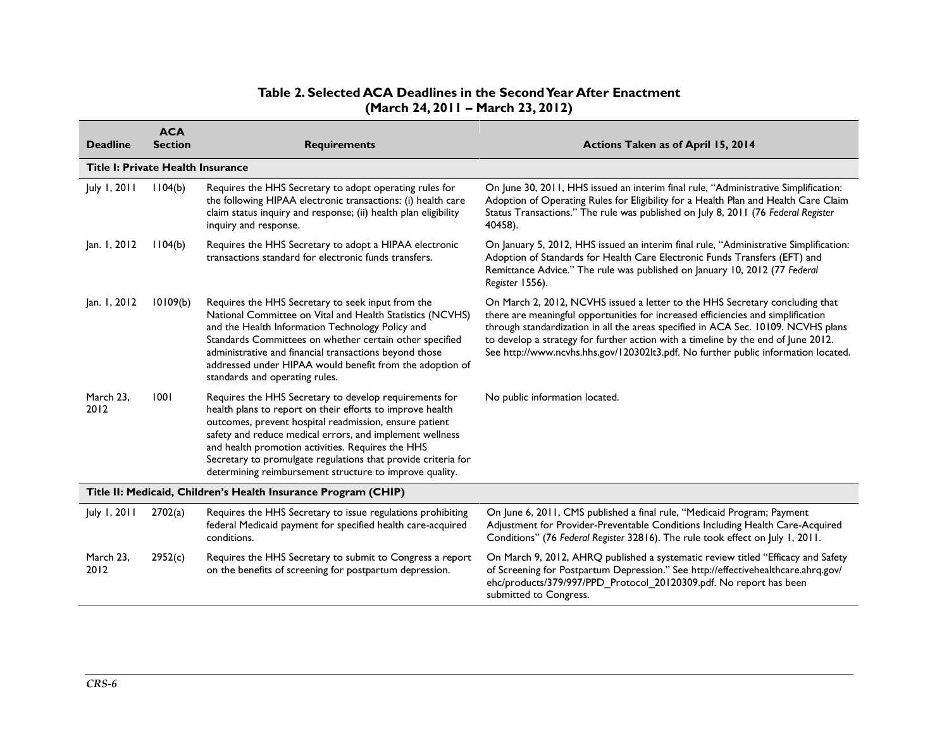## **Table 2. Selected ACA Deadlines in the Second Year After Enactment (March 24, 2011 – March 23, 2012)**

| <b>Deadline</b>                                                | <b>ACA</b><br><b>Section</b> | <b>Requirements</b>                                                                                                                                                                                                                                                                                                                                                                                                        | Actions Taken as of April 15, 2014                                                                                                                                                                                                                                                                                                                                                                                               |  |
|----------------------------------------------------------------|------------------------------|----------------------------------------------------------------------------------------------------------------------------------------------------------------------------------------------------------------------------------------------------------------------------------------------------------------------------------------------------------------------------------------------------------------------------|----------------------------------------------------------------------------------------------------------------------------------------------------------------------------------------------------------------------------------------------------------------------------------------------------------------------------------------------------------------------------------------------------------------------------------|--|
| <b>Title I: Private Health Insurance</b>                       |                              |                                                                                                                                                                                                                                                                                                                                                                                                                            |                                                                                                                                                                                                                                                                                                                                                                                                                                  |  |
| July 1, 2011                                                   | 1104(b)                      | Requires the HHS Secretary to adopt operating rules for<br>the following HIPAA electronic transactions: (i) health care<br>claim status inquiry and response; (ii) health plan eligibility<br>inquiry and response.                                                                                                                                                                                                        | On June 30, 2011, HHS issued an interim final rule, "Administrative Simplification:<br>Adoption of Operating Rules for Eligibility for a Health Plan and Health Care Claim<br>Status Transactions." The rule was published on July 8, 2011 (76 Federal Register<br>40458).                                                                                                                                                       |  |
| Jan. 1, 2012                                                   | 1104(b)                      | Requires the HHS Secretary to adopt a HIPAA electronic<br>transactions standard for electronic funds transfers.                                                                                                                                                                                                                                                                                                            | On January 5, 2012, HHS issued an interim final rule, "Administrative Simplification:<br>Adoption of Standards for Health Care Electronic Funds Transfers (EFT) and<br>Remittance Advice." The rule was published on January 10, 2012 (77 Federal<br>Register 1556).                                                                                                                                                             |  |
| Jan. 1, 2012                                                   | 10109(b)                     | Requires the HHS Secretary to seek input from the<br>National Committee on Vital and Health Statistics (NCVHS)<br>and the Health Information Technology Policy and<br>Standards Committees on whether certain other specified<br>administrative and financial transactions beyond those<br>addressed under HIPAA would benefit from the adoption of<br>standards and operating rules.                                      | On March 2, 2012, NCVHS issued a letter to the HHS Secretary concluding that<br>there are meaningful opportunities for increased efficiencies and simplification<br>through standardization in all the areas specified in ACA Sec. 10109. NCVHS plans<br>to develop a strategy for further action with a timeline by the end of June 2012.<br>See http://www.ncvhs.hhs.gov/120302lt3.pdf. No further public information located. |  |
| March 23,<br>2012                                              | 1001                         | Requires the HHS Secretary to develop requirements for<br>health plans to report on their efforts to improve health<br>outcomes, prevent hospital readmission, ensure patient<br>safety and reduce medical errors, and implement wellness<br>and health promotion activities. Requires the HHS<br>Secretary to promulgate regulations that provide criteria for<br>determining reimbursement structure to improve quality. | No public information located.                                                                                                                                                                                                                                                                                                                                                                                                   |  |
| Title II: Medicaid, Children's Health Insurance Program (CHIP) |                              |                                                                                                                                                                                                                                                                                                                                                                                                                            |                                                                                                                                                                                                                                                                                                                                                                                                                                  |  |
| July 1, 2011                                                   | 2702(a)                      | Requires the HHS Secretary to issue regulations prohibiting<br>federal Medicaid payment for specified health care-acquired<br>conditions.                                                                                                                                                                                                                                                                                  | On June 6, 2011, CMS published a final rule, "Medicaid Program; Payment<br>Adjustment for Provider-Preventable Conditions Including Health Care-Acquired<br>Conditions" (76 Federal Register 32816). The rule took effect on July 1, 2011.                                                                                                                                                                                       |  |
| March 23,<br>2012                                              | 2952(c)                      | Requires the HHS Secretary to submit to Congress a report<br>on the benefits of screening for postpartum depression.                                                                                                                                                                                                                                                                                                       | On March 9, 2012, AHRQ published a systematic review titled "Efficacy and Safety<br>of Screening for Postpartum Depression." See http://effectivehealthcare.ahrq.gov/<br>ehc/products/379/997/PPD Protocol 20120309.pdf. No report has been<br>submitted to Congress.                                                                                                                                                            |  |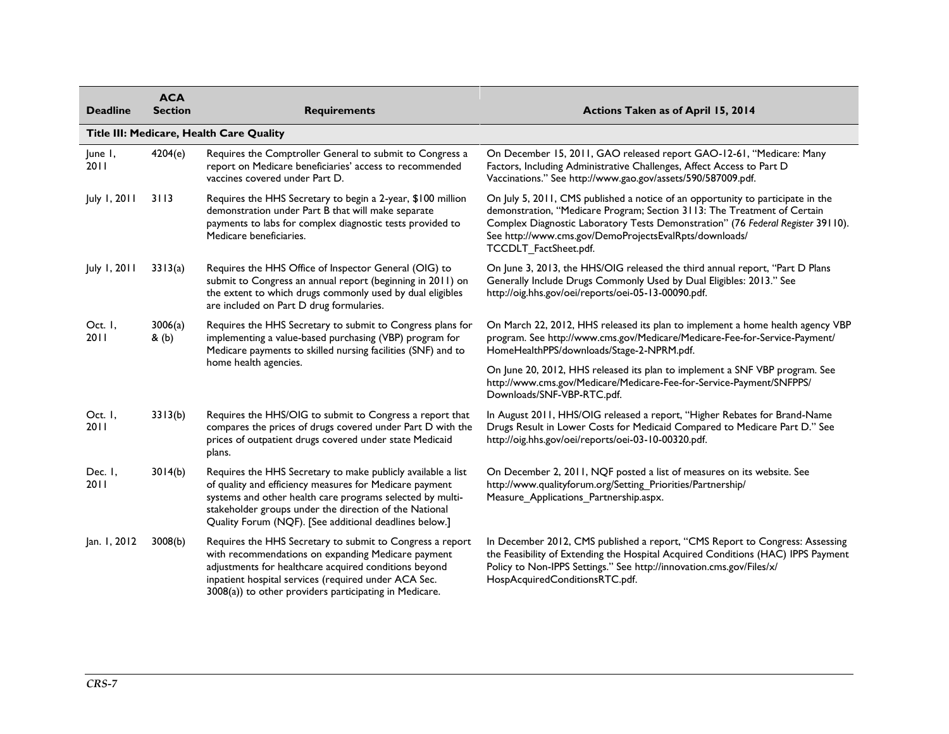| <b>Deadline</b>          | <b>ACA</b><br><b>Section</b> | <b>Requirements</b>                                                                                                                                                                                                                                                                                      | Actions Taken as of April 15, 2014                                                                                                                                                                                                                                                                                                |
|--------------------------|------------------------------|----------------------------------------------------------------------------------------------------------------------------------------------------------------------------------------------------------------------------------------------------------------------------------------------------------|-----------------------------------------------------------------------------------------------------------------------------------------------------------------------------------------------------------------------------------------------------------------------------------------------------------------------------------|
|                          |                              | Title III: Medicare, Health Care Quality                                                                                                                                                                                                                                                                 |                                                                                                                                                                                                                                                                                                                                   |
| June I,<br>2011          | 4204(e)                      | Requires the Comptroller General to submit to Congress a<br>report on Medicare beneficiaries' access to recommended<br>vaccines covered under Part D.                                                                                                                                                    | On December 15, 2011, GAO released report GAO-12-61, "Medicare: Many<br>Factors, Including Administrative Challenges, Affect Access to Part D<br>Vaccinations." See http://www.gao.gov/assets/590/587009.pdf.                                                                                                                     |
| July 1, 2011             | 3113                         | Requires the HHS Secretary to begin a 2-year, \$100 million<br>demonstration under Part B that will make separate<br>payments to labs for complex diagnostic tests provided to<br>Medicare beneficiaries.                                                                                                | On July 5, 2011, CMS published a notice of an opportunity to participate in the<br>demonstration, "Medicare Program; Section 3113: The Treatment of Certain<br>Complex Diagnostic Laboratory Tests Demonstration" (76 Federal Register 39110).<br>See http://www.cms.gov/DemoProjectsEvalRpts/downloads/<br>TCCDLT FactSheet.pdf. |
| July 1, 2011             | 3313(a)                      | Requires the HHS Office of Inspector General (OIG) to<br>submit to Congress an annual report (beginning in 2011) on<br>the extent to which drugs commonly used by dual eligibles<br>are included on Part D drug formularies.                                                                             | On June 3, 2013, the HHS/OIG released the third annual report, "Part D Plans<br>Generally Include Drugs Commonly Used by Dual Eligibles: 2013." See<br>http://oig.hhs.gov/oei/reports/oei-05-13-00090.pdf.                                                                                                                        |
| Oct. I,<br>2011<br>& (b) | 3006(a)                      | Requires the HHS Secretary to submit to Congress plans for<br>implementing a value-based purchasing (VBP) program for<br>Medicare payments to skilled nursing facilities (SNF) and to                                                                                                                    | On March 22, 2012, HHS released its plan to implement a home health agency VBP<br>program. See http://www.cms.gov/Medicare/Medicare-Fee-for-Service-Payment/<br>HomeHealthPPS/downloads/Stage-2-NPRM.pdf.                                                                                                                         |
|                          |                              | home health agencies.                                                                                                                                                                                                                                                                                    | On June 20, 2012, HHS released its plan to implement a SNF VBP program. See<br>http://www.cms.gov/Medicare/Medicare-Fee-for-Service-Payment/SNFPPS/<br>Downloads/SNF-VBP-RTC.pdf.                                                                                                                                                 |
| Oct. I,<br>2011          | 3313(b)                      | Requires the HHS/OIG to submit to Congress a report that<br>compares the prices of drugs covered under Part D with the<br>prices of outpatient drugs covered under state Medicaid<br>plans.                                                                                                              | In August 2011, HHS/OIG released a report, "Higher Rebates for Brand-Name<br>Drugs Result in Lower Costs for Medicaid Compared to Medicare Part D." See<br>http://oig.hhs.gov/oei/reports/oei-03-10-00320.pdf.                                                                                                                    |
| Dec. I,<br>2011          | 3014(b)                      | Requires the HHS Secretary to make publicly available a list<br>of quality and efficiency measures for Medicare payment<br>systems and other health care programs selected by multi-<br>stakeholder groups under the direction of the National<br>Quality Forum (NQF). [See additional deadlines below.] | On December 2, 2011, NQF posted a list of measures on its website. See<br>http://www.qualityforum.org/Setting_Priorities/Partnership/<br>Measure_Applications_Partnership.aspx.                                                                                                                                                   |
| Jan. 1, 2012             | 3008(b)                      | Requires the HHS Secretary to submit to Congress a report<br>with recommendations on expanding Medicare payment<br>adjustments for healthcare acquired conditions beyond<br>inpatient hospital services (required under ACA Sec.<br>3008(a)) to other providers participating in Medicare.               | In December 2012, CMS published a report, "CMS Report to Congress: Assessing<br>the Feasibility of Extending the Hospital Acquired Conditions (HAC) IPPS Payment<br>Policy to Non-IPPS Settings." See http://innovation.cms.gov/Files/x/<br>HospAcquiredConditionsRTC.pdf.                                                        |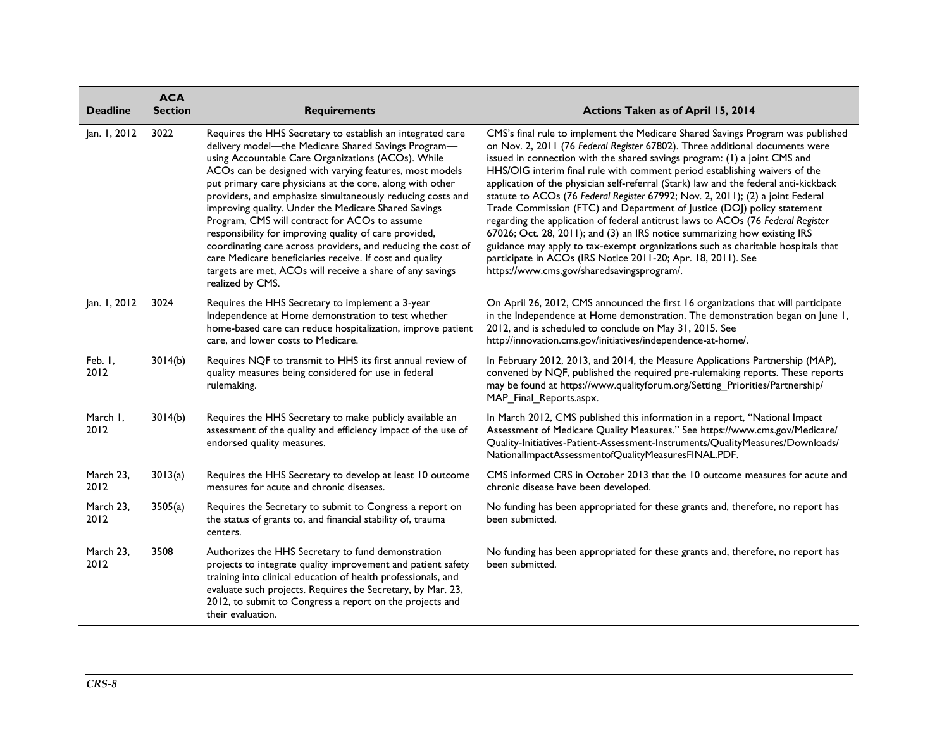| <b>Deadline</b>   | <b>ACA</b><br><b>Section</b> | <b>Requirements</b>                                                                                                                                                                                                                                                                                                                                                                                                                                                                                                                                                                                                                                                                                                                           | Actions Taken as of April 15, 2014                                                                                                                                                                                                                                                                                                                                                                                                                                                                                                                                                                                                                                                                                                                                                                                                                                                                                                                 |
|-------------------|------------------------------|-----------------------------------------------------------------------------------------------------------------------------------------------------------------------------------------------------------------------------------------------------------------------------------------------------------------------------------------------------------------------------------------------------------------------------------------------------------------------------------------------------------------------------------------------------------------------------------------------------------------------------------------------------------------------------------------------------------------------------------------------|----------------------------------------------------------------------------------------------------------------------------------------------------------------------------------------------------------------------------------------------------------------------------------------------------------------------------------------------------------------------------------------------------------------------------------------------------------------------------------------------------------------------------------------------------------------------------------------------------------------------------------------------------------------------------------------------------------------------------------------------------------------------------------------------------------------------------------------------------------------------------------------------------------------------------------------------------|
| Jan. 1, 2012      | 3022                         | Requires the HHS Secretary to establish an integrated care<br>delivery model-the Medicare Shared Savings Program-<br>using Accountable Care Organizations (ACOs). While<br>ACOs can be designed with varying features, most models<br>put primary care physicians at the core, along with other<br>providers, and emphasize simultaneously reducing costs and<br>improving quality. Under the Medicare Shared Savings<br>Program, CMS will contract for ACOs to assume<br>responsibility for improving quality of care provided,<br>coordinating care across providers, and reducing the cost of<br>care Medicare beneficiaries receive. If cost and quality<br>targets are met, ACOs will receive a share of any savings<br>realized by CMS. | CMS's final rule to implement the Medicare Shared Savings Program was published<br>on Nov. 2, 2011 (76 Federal Register 67802). Three additional documents were<br>issued in connection with the shared savings program: (1) a joint CMS and<br>HHS/OIG interim final rule with comment period establishing waivers of the<br>application of the physician self-referral (Stark) law and the federal anti-kickback<br>statute to ACOs (76 Federal Register 67992; Nov. 2, 2011); (2) a joint Federal<br>Trade Commission (FTC) and Department of Justice (DOJ) policy statement<br>regarding the application of federal antitrust laws to ACOs (76 Federal Register<br>67026; Oct. 28, 2011); and (3) an IRS notice summarizing how existing IRS<br>guidance may apply to tax-exempt organizations such as charitable hospitals that<br>participate in ACOs (IRS Notice 2011-20; Apr. 18, 2011). See<br>https://www.cms.gov/sharedsavingsprogram/. |
| Jan. 1, 2012      | 3024                         | Requires the HHS Secretary to implement a 3-year<br>Independence at Home demonstration to test whether<br>home-based care can reduce hospitalization, improve patient<br>care, and lower costs to Medicare.                                                                                                                                                                                                                                                                                                                                                                                                                                                                                                                                   | On April 26, 2012, CMS announced the first 16 organizations that will participate<br>in the Independence at Home demonstration. The demonstration began on June 1,<br>2012, and is scheduled to conclude on May 31, 2015. See<br>http://innovation.cms.gov/initiatives/independence-at-home/.                                                                                                                                                                                                                                                                                                                                                                                                                                                                                                                                                                                                                                                      |
| Feb. I,<br>2012   | 3014(b)                      | Requires NQF to transmit to HHS its first annual review of<br>quality measures being considered for use in federal<br>rulemaking.                                                                                                                                                                                                                                                                                                                                                                                                                                                                                                                                                                                                             | In February 2012, 2013, and 2014, the Measure Applications Partnership (MAP),<br>convened by NQF, published the required pre-rulemaking reports. These reports<br>may be found at https://www.qualityforum.org/Setting_Priorities/Partnership/<br>MAP Final Reports.aspx.                                                                                                                                                                                                                                                                                                                                                                                                                                                                                                                                                                                                                                                                          |
| March I,<br>2012  | 3014(b)                      | Requires the HHS Secretary to make publicly available an<br>assessment of the quality and efficiency impact of the use of<br>endorsed quality measures.                                                                                                                                                                                                                                                                                                                                                                                                                                                                                                                                                                                       | In March 2012, CMS published this information in a report, "National Impact<br>Assessment of Medicare Quality Measures." See https://www.cms.gov/Medicare/<br>Quality-Initiatives-Patient-Assessment-Instruments/QualityMeasures/Downloads/<br>NationalImpactAssessmentofQualityMeasuresFINAL.PDF.                                                                                                                                                                                                                                                                                                                                                                                                                                                                                                                                                                                                                                                 |
| March 23,<br>2012 | 3013(a)                      | Requires the HHS Secretary to develop at least 10 outcome<br>measures for acute and chronic diseases.                                                                                                                                                                                                                                                                                                                                                                                                                                                                                                                                                                                                                                         | CMS informed CRS in October 2013 that the 10 outcome measures for acute and<br>chronic disease have been developed.                                                                                                                                                                                                                                                                                                                                                                                                                                                                                                                                                                                                                                                                                                                                                                                                                                |
| March 23,<br>2012 | 3505(a)                      | Requires the Secretary to submit to Congress a report on<br>the status of grants to, and financial stability of, trauma<br>centers.                                                                                                                                                                                                                                                                                                                                                                                                                                                                                                                                                                                                           | No funding has been appropriated for these grants and, therefore, no report has<br>been submitted.                                                                                                                                                                                                                                                                                                                                                                                                                                                                                                                                                                                                                                                                                                                                                                                                                                                 |
| March 23,<br>2012 | 3508                         | Authorizes the HHS Secretary to fund demonstration<br>projects to integrate quality improvement and patient safety<br>training into clinical education of health professionals, and<br>evaluate such projects. Requires the Secretary, by Mar. 23,<br>2012, to submit to Congress a report on the projects and<br>their evaluation.                                                                                                                                                                                                                                                                                                                                                                                                           | No funding has been appropriated for these grants and, therefore, no report has<br>been submitted.                                                                                                                                                                                                                                                                                                                                                                                                                                                                                                                                                                                                                                                                                                                                                                                                                                                 |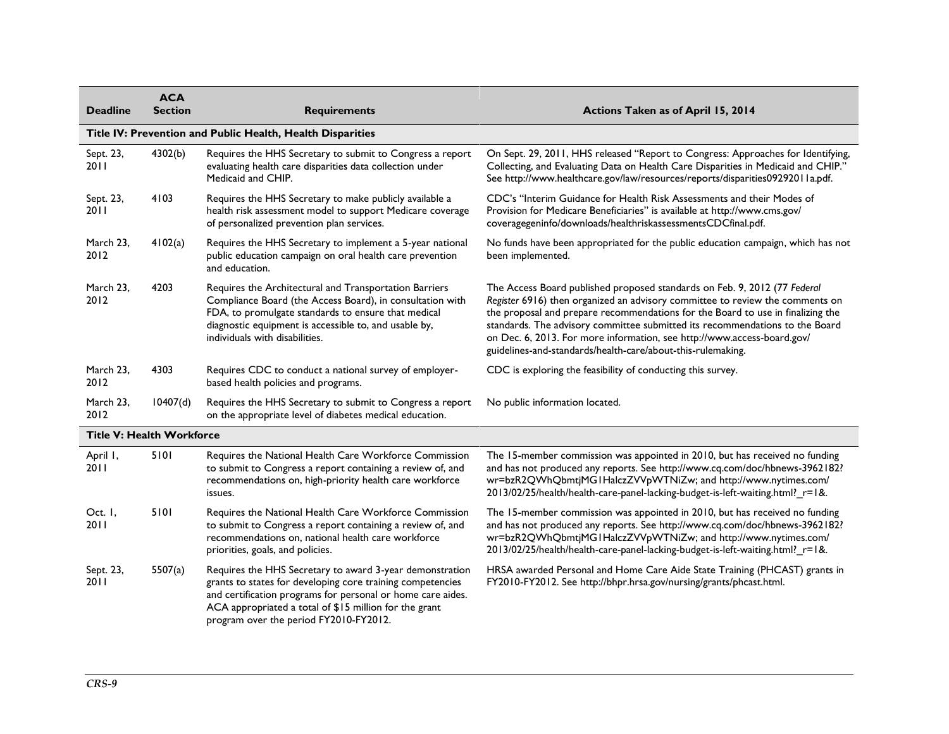| <b>Deadline</b>                  | <b>ACA</b><br><b>Section</b> | <b>Requirements</b>                                                                                                                                                                                                                                                                       | Actions Taken as of April 15, 2014                                                                                                                                                                                                                                                                                                                                                                                                                                      |
|----------------------------------|------------------------------|-------------------------------------------------------------------------------------------------------------------------------------------------------------------------------------------------------------------------------------------------------------------------------------------|-------------------------------------------------------------------------------------------------------------------------------------------------------------------------------------------------------------------------------------------------------------------------------------------------------------------------------------------------------------------------------------------------------------------------------------------------------------------------|
|                                  |                              | Title IV: Prevention and Public Health, Health Disparities                                                                                                                                                                                                                                |                                                                                                                                                                                                                                                                                                                                                                                                                                                                         |
| Sept. 23,<br>2011                | 4302(b)                      | Requires the HHS Secretary to submit to Congress a report<br>evaluating health care disparities data collection under<br>Medicaid and CHIP.                                                                                                                                               | On Sept. 29, 2011, HHS released "Report to Congress: Approaches for Identifying,<br>Collecting, and Evaluating Data on Health Care Disparities in Medicaid and CHIP."<br>See http://www.healthcare.gov/law/resources/reports/disparities09292011a.pdf.                                                                                                                                                                                                                  |
| Sept. 23,<br>20 I I              | 4103                         | Requires the HHS Secretary to make publicly available a<br>health risk assessment model to support Medicare coverage<br>of personalized prevention plan services.                                                                                                                         | CDC's "Interim Guidance for Health Risk Assessments and their Modes of<br>Provision for Medicare Beneficiaries" is available at http://www.cms.gov/<br>coveragegeninfo/downloads/healthriskassessmentsCDCfinal.pdf.                                                                                                                                                                                                                                                     |
| March 23,<br>2012                | 4102(a)                      | Requires the HHS Secretary to implement a 5-year national<br>public education campaign on oral health care prevention<br>and education.                                                                                                                                                   | No funds have been appropriated for the public education campaign, which has not<br>been implemented.                                                                                                                                                                                                                                                                                                                                                                   |
| March 23,<br>2012                | 4203                         | Requires the Architectural and Transportation Barriers<br>Compliance Board (the Access Board), in consultation with<br>FDA, to promulgate standards to ensure that medical<br>diagnostic equipment is accessible to, and usable by,<br>individuals with disabilities.                     | The Access Board published proposed standards on Feb. 9, 2012 (77 Federal<br>Register 6916) then organized an advisory committee to review the comments on<br>the proposal and prepare recommendations for the Board to use in finalizing the<br>standards. The advisory committee submitted its recommendations to the Board<br>on Dec. 6, 2013. For more information, see http://www.access-board.gov/<br>guidelines-and-standards/health-care/about-this-rulemaking. |
| March 23,<br>2012                | 4303                         | Requires CDC to conduct a national survey of employer-<br>based health policies and programs.                                                                                                                                                                                             | CDC is exploring the feasibility of conducting this survey.                                                                                                                                                                                                                                                                                                                                                                                                             |
| March 23,<br>2012                | 10407(d)                     | Requires the HHS Secretary to submit to Congress a report<br>on the appropriate level of diabetes medical education.                                                                                                                                                                      | No public information located.                                                                                                                                                                                                                                                                                                                                                                                                                                          |
| <b>Title V: Health Workforce</b> |                              |                                                                                                                                                                                                                                                                                           |                                                                                                                                                                                                                                                                                                                                                                                                                                                                         |
| April I,<br>2011                 | 5101                         | Requires the National Health Care Workforce Commission<br>to submit to Congress a report containing a review of, and<br>recommendations on, high-priority health care workforce<br>issues.                                                                                                | The 15-member commission was appointed in 2010, but has received no funding<br>and has not produced any reports. See http://www.cq.com/doc/hbnews-3962182?<br>wr=bzR2QWhQbmtjMG1HalczZVVpWTNiZw; and http://www.nytimes.com/<br>2013/02/25/health/health-care-panel-lacking-budget-is-left-waiting.html?_r=1&.                                                                                                                                                          |
| Oct. I,<br>20 I I                | 5101                         | Requires the National Health Care Workforce Commission<br>to submit to Congress a report containing a review of, and<br>recommendations on, national health care workforce<br>priorities, goals, and policies.                                                                            | The 15-member commission was appointed in 2010, but has received no funding<br>and has not produced any reports. See http://www.cq.com/doc/hbnews-3962182?<br>wr=bzR2QWhQbmtjMG1HalczZVVpWTNiZw; and http://www.nytimes.com/<br>2013/02/25/health/health-care-panel-lacking-budget-is-left-waiting.html?_r=1&.                                                                                                                                                          |
| Sept. 23,<br>2011                | 5507(a)                      | Requires the HHS Secretary to award 3-year demonstration<br>grants to states for developing core training competencies<br>and certification programs for personal or home care aides.<br>ACA appropriated a total of \$15 million for the grant<br>program over the period FY2010-FY2012. | HRSA awarded Personal and Home Care Aide State Training (PHCAST) grants in<br>FY2010-FY2012. See http://bhpr.hrsa.gov/nursing/grants/phcast.html.                                                                                                                                                                                                                                                                                                                       |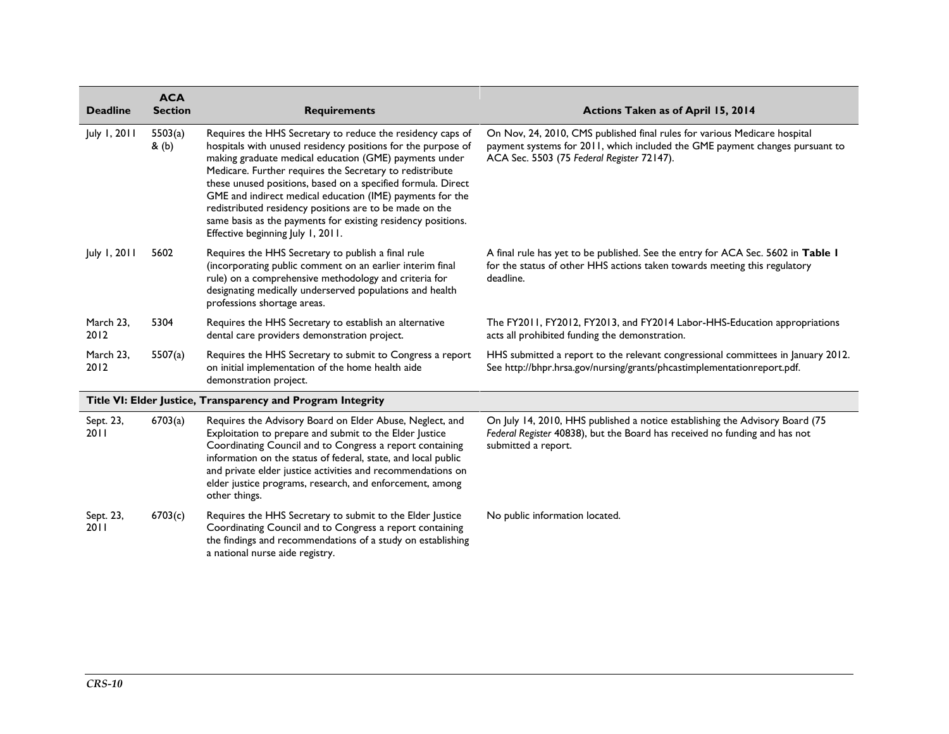| <b>Deadline</b>   | <b>ACA</b><br><b>Section</b> | <b>Requirements</b>                                                                                                                                                                                                                                                                                                                                                                                                                                                                                                                           | Actions Taken as of April 15, 2014                                                                                                                                                                      |
|-------------------|------------------------------|-----------------------------------------------------------------------------------------------------------------------------------------------------------------------------------------------------------------------------------------------------------------------------------------------------------------------------------------------------------------------------------------------------------------------------------------------------------------------------------------------------------------------------------------------|---------------------------------------------------------------------------------------------------------------------------------------------------------------------------------------------------------|
| July 1, 2011      | 5503(a)<br>$&$ (b)           | Requires the HHS Secretary to reduce the residency caps of<br>hospitals with unused residency positions for the purpose of<br>making graduate medical education (GME) payments under<br>Medicare. Further requires the Secretary to redistribute<br>these unused positions, based on a specified formula. Direct<br>GME and indirect medical education (IME) payments for the<br>redistributed residency positions are to be made on the<br>same basis as the payments for existing residency positions.<br>Effective beginning July 1, 2011. | On Nov, 24, 2010, CMS published final rules for various Medicare hospital<br>payment systems for 2011, which included the GME payment changes pursuant to<br>ACA Sec. 5503 (75 Federal Register 72147). |
| July 1, 2011      | 5602                         | Requires the HHS Secretary to publish a final rule<br>(incorporating public comment on an earlier interim final<br>rule) on a comprehensive methodology and criteria for<br>designating medically underserved populations and health<br>professions shortage areas.                                                                                                                                                                                                                                                                           | A final rule has yet to be published. See the entry for ACA Sec. 5602 in Table I<br>for the status of other HHS actions taken towards meeting this regulatory<br>deadline.                              |
| March 23,<br>2012 | 5304                         | Requires the HHS Secretary to establish an alternative<br>dental care providers demonstration project.                                                                                                                                                                                                                                                                                                                                                                                                                                        | The FY2011, FY2012, FY2013, and FY2014 Labor-HHS-Education appropriations<br>acts all prohibited funding the demonstration.                                                                             |
| March 23,<br>2012 | 5507(a)                      | Requires the HHS Secretary to submit to Congress a report<br>on initial implementation of the home health aide<br>demonstration project.                                                                                                                                                                                                                                                                                                                                                                                                      | HHS submitted a report to the relevant congressional committees in January 2012.<br>See http://bhpr.hrsa.gov/nursing/grants/phcastimplementationreport.pdf.                                             |
|                   |                              | Title VI: Elder Justice, Transparency and Program Integrity                                                                                                                                                                                                                                                                                                                                                                                                                                                                                   |                                                                                                                                                                                                         |
| Sept. 23,<br>2011 | 6703(a)                      | Requires the Advisory Board on Elder Abuse, Neglect, and<br>Exploitation to prepare and submit to the Elder Justice<br>Coordinating Council and to Congress a report containing<br>information on the status of federal, state, and local public<br>and private elder justice activities and recommendations on<br>elder justice programs, research, and enforcement, among<br>other things.                                                                                                                                                  | On July 14, 2010, HHS published a notice establishing the Advisory Board (75<br>Federal Register 40838), but the Board has received no funding and has not<br>submitted a report.                       |
| Sept. 23,<br>2011 | 6703(c)                      | Requires the HHS Secretary to submit to the Elder Justice<br>Coordinating Council and to Congress a report containing<br>the findings and recommendations of a study on establishing<br>a national nurse aide registry.                                                                                                                                                                                                                                                                                                                       | No public information located.                                                                                                                                                                          |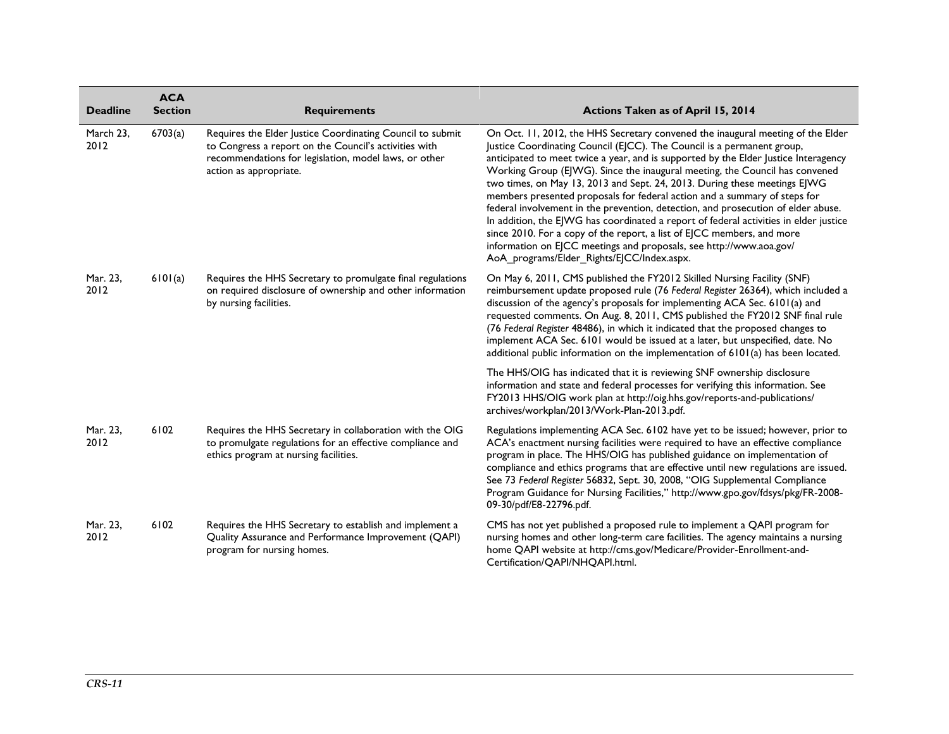| <b>Deadline</b>   | <b>ACA</b><br><b>Section</b> | <b>Requirements</b>                                                                                                                                                                                   | Actions Taken as of April 15, 2014                                                                                                                                                                                                                                                                                                                                                                                                                                                                                                                                                                                                                                                                                                                                                                                                                                     |
|-------------------|------------------------------|-------------------------------------------------------------------------------------------------------------------------------------------------------------------------------------------------------|------------------------------------------------------------------------------------------------------------------------------------------------------------------------------------------------------------------------------------------------------------------------------------------------------------------------------------------------------------------------------------------------------------------------------------------------------------------------------------------------------------------------------------------------------------------------------------------------------------------------------------------------------------------------------------------------------------------------------------------------------------------------------------------------------------------------------------------------------------------------|
| March 23,<br>2012 | 6703(a)                      | Requires the Elder Justice Coordinating Council to submit<br>to Congress a report on the Council's activities with<br>recommendations for legislation, model laws, or other<br>action as appropriate. | On Oct. 11, 2012, the HHS Secretary convened the inaugural meeting of the Elder<br>Justice Coordinating Council (EJCC). The Council is a permanent group,<br>anticipated to meet twice a year, and is supported by the Elder Justice Interagency<br>Working Group (EJWG). Since the inaugural meeting, the Council has convened<br>two times, on May 13, 2013 and Sept. 24, 2013. During these meetings EJWG<br>members presented proposals for federal action and a summary of steps for<br>federal involvement in the prevention, detection, and prosecution of elder abuse.<br>In addition, the EJWG has coordinated a report of federal activities in elder justice<br>since 2010. For a copy of the report, a list of EJCC members, and more<br>information on EJCC meetings and proposals, see http://www.aoa.gov/<br>AoA programs/Elder Rights/EJCC/Index.aspx. |
| Mar. 23,<br>2012  | 6101(a)                      | Requires the HHS Secretary to promulgate final regulations<br>on required disclosure of ownership and other information<br>by nursing facilities.                                                     | On May 6, 2011, CMS published the FY2012 Skilled Nursing Facility (SNF)<br>reimbursement update proposed rule (76 Federal Register 26364), which included a<br>discussion of the agency's proposals for implementing ACA Sec. 6101(a) and<br>requested comments. On Aug. 8, 2011, CMS published the FY2012 SNF final rule<br>(76 Federal Register 48486), in which it indicated that the proposed changes to<br>implement ACA Sec. 6101 would be issued at a later, but unspecified, date. No<br>additional public information on the implementation of 6101(a) has been located.                                                                                                                                                                                                                                                                                      |
|                   |                              |                                                                                                                                                                                                       | The HHS/OIG has indicated that it is reviewing SNF ownership disclosure<br>information and state and federal processes for verifying this information. See<br>FY2013 HHS/OIG work plan at http://oig.hhs.gov/reports-and-publications/<br>archives/workplan/2013/Work-Plan-2013.pdf.                                                                                                                                                                                                                                                                                                                                                                                                                                                                                                                                                                                   |
| Mar. 23,<br>2012  | 6102                         | Requires the HHS Secretary in collaboration with the OIG<br>to promulgate regulations for an effective compliance and<br>ethics program at nursing facilities.                                        | Regulations implementing ACA Sec. 6102 have yet to be issued; however, prior to<br>ACA's enactment nursing facilities were required to have an effective compliance<br>program in place. The HHS/OIG has published guidance on implementation of<br>compliance and ethics programs that are effective until new regulations are issued.<br>See 73 Federal Register 56832, Sept. 30, 2008, "OIG Supplemental Compliance<br>Program Guidance for Nursing Facilities," http://www.gpo.gov/fdsys/pkg/FR-2008-<br>09-30/pdf/E8-22796.pdf.                                                                                                                                                                                                                                                                                                                                   |
| Mar. 23,<br>2012  | 6102                         | Requires the HHS Secretary to establish and implement a<br>Quality Assurance and Performance Improvement (QAPI)<br>program for nursing homes.                                                         | CMS has not yet published a proposed rule to implement a QAPI program for<br>nursing homes and other long-term care facilities. The agency maintains a nursing<br>home QAPI website at http://cms.gov/Medicare/Provider-Enrollment-and-<br>Certification/QAPI/NHQAPI.html.                                                                                                                                                                                                                                                                                                                                                                                                                                                                                                                                                                                             |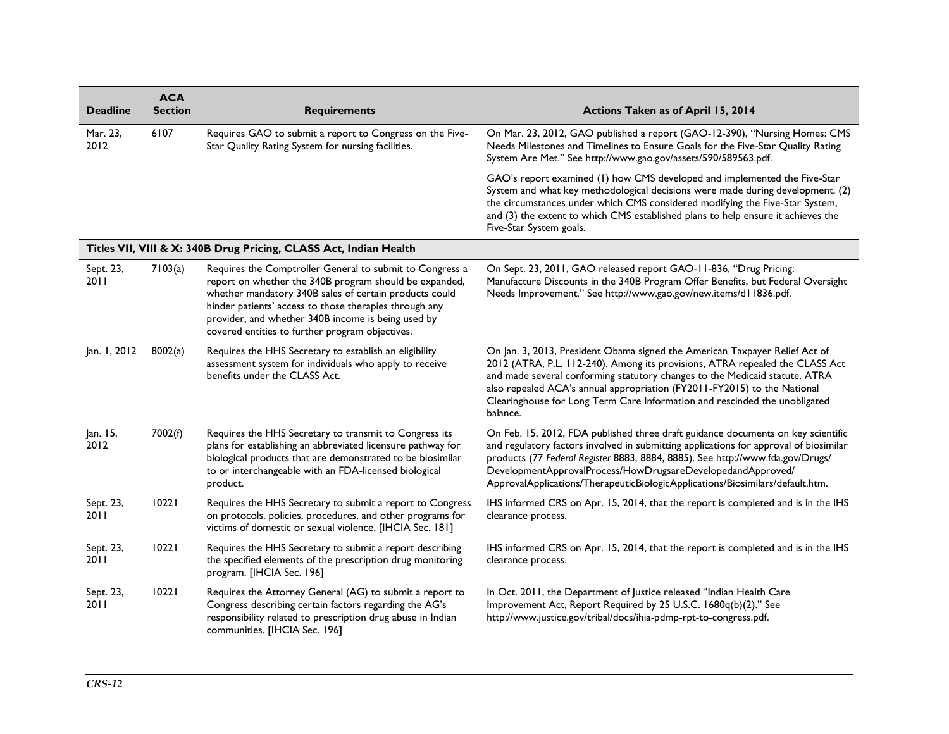| <b>Deadline</b>     | <b>ACA</b><br><b>Section</b> | <b>Requirements</b>                                                                                                                                                                                                                                                                                                                             | Actions Taken as of April 15, 2014                                                                                                                                                                                                                                                                                                                                                                               |
|---------------------|------------------------------|-------------------------------------------------------------------------------------------------------------------------------------------------------------------------------------------------------------------------------------------------------------------------------------------------------------------------------------------------|------------------------------------------------------------------------------------------------------------------------------------------------------------------------------------------------------------------------------------------------------------------------------------------------------------------------------------------------------------------------------------------------------------------|
| Mar. 23,<br>2012    | 6107                         | Requires GAO to submit a report to Congress on the Five-<br>Star Quality Rating System for nursing facilities.                                                                                                                                                                                                                                  | On Mar. 23, 2012, GAO published a report (GAO-12-390), "Nursing Homes: CMS<br>Needs Milestones and Timelines to Ensure Goals for the Five-Star Quality Rating<br>System Are Met." See http://www.gao.gov/assets/590/589563.pdf.                                                                                                                                                                                  |
|                     |                              |                                                                                                                                                                                                                                                                                                                                                 | GAO's report examined (1) how CMS developed and implemented the Five-Star<br>System and what key methodological decisions were made during development, (2)<br>the circumstances under which CMS considered modifying the Five-Star System,<br>and (3) the extent to which CMS established plans to help ensure it achieves the<br>Five-Star System goals.                                                       |
|                     |                              | Titles VII, VIII & X: 340B Drug Pricing, CLASS Act, Indian Health                                                                                                                                                                                                                                                                               |                                                                                                                                                                                                                                                                                                                                                                                                                  |
| Sept. 23,<br>2011   | 7103(a)                      | Requires the Comptroller General to submit to Congress a<br>report on whether the 340B program should be expanded,<br>whether mandatory 340B sales of certain products could<br>hinder patients' access to those therapies through any<br>provider, and whether 340B income is being used by<br>covered entities to further program objectives. | On Sept. 23, 2011, GAO released report GAO-11-836, "Drug Pricing:<br>Manufacture Discounts in the 340B Program Offer Benefits, but Federal Oversight<br>Needs Improvement." See http://www.gao.gov/new.items/d11836.pdf.                                                                                                                                                                                         |
| Jan. 1, 2012        | 8002(a)                      | Requires the HHS Secretary to establish an eligibility<br>assessment system for individuals who apply to receive<br>benefits under the CLASS Act.                                                                                                                                                                                               | On Jan. 3, 2013, President Obama signed the American Taxpayer Relief Act of<br>2012 (ATRA, P.L. 112-240). Among its provisions, ATRA repealed the CLASS Act<br>and made several conforming statutory changes to the Medicaid statute. ATRA<br>also repealed ACA's annual appropriation (FY2011-FY2015) to the National<br>Clearinghouse for Long Term Care Information and rescinded the unobligated<br>balance. |
| Jan. 15,<br>2012    | 7002(f)                      | Requires the HHS Secretary to transmit to Congress its<br>plans for establishing an abbreviated licensure pathway for<br>biological products that are demonstrated to be biosimilar<br>to or interchangeable with an FDA-licensed biological<br>product.                                                                                        | On Feb. 15, 2012, FDA published three draft guidance documents on key scientific<br>and regulatory factors involved in submitting applications for approval of biosimilar<br>products (77 Federal Register 8883, 8884, 8885). See http://www.fda.gov/Drugs/<br>DevelopmentApprovalProcess/HowDrugsareDevelopedandApproved/<br>ApprovalApplications/TherapeuticBiologicApplications/Biosimilars/default.htm.      |
| Sept. 23,<br>20 I I | 10221                        | Requires the HHS Secretary to submit a report to Congress<br>on protocols, policies, procedures, and other programs for<br>victims of domestic or sexual violence. [IHCIA Sec. 181]                                                                                                                                                             | IHS informed CRS on Apr. 15, 2014, that the report is completed and is in the IHS<br>clearance process.                                                                                                                                                                                                                                                                                                          |
| Sept. 23,<br>2011   | 10221                        | Requires the HHS Secretary to submit a report describing<br>the specified elements of the prescription drug monitoring<br>program. [IHCIA Sec. 196]                                                                                                                                                                                             | IHS informed CRS on Apr. 15, 2014, that the report is completed and is in the IHS<br>clearance process.                                                                                                                                                                                                                                                                                                          |
| Sept. 23,<br>2011   | 10221                        | Requires the Attorney General (AG) to submit a report to<br>Congress describing certain factors regarding the AG's<br>responsibility related to prescription drug abuse in Indian<br>communities. [IHCIA Sec. 196]                                                                                                                              | In Oct. 2011, the Department of Justice released "Indian Health Care<br>Improvement Act, Report Required by 25 U.S.C. 1680q(b)(2)." See<br>http://www.justice.gov/tribal/docs/ihia-pdmp-rpt-to-congress.pdf.                                                                                                                                                                                                     |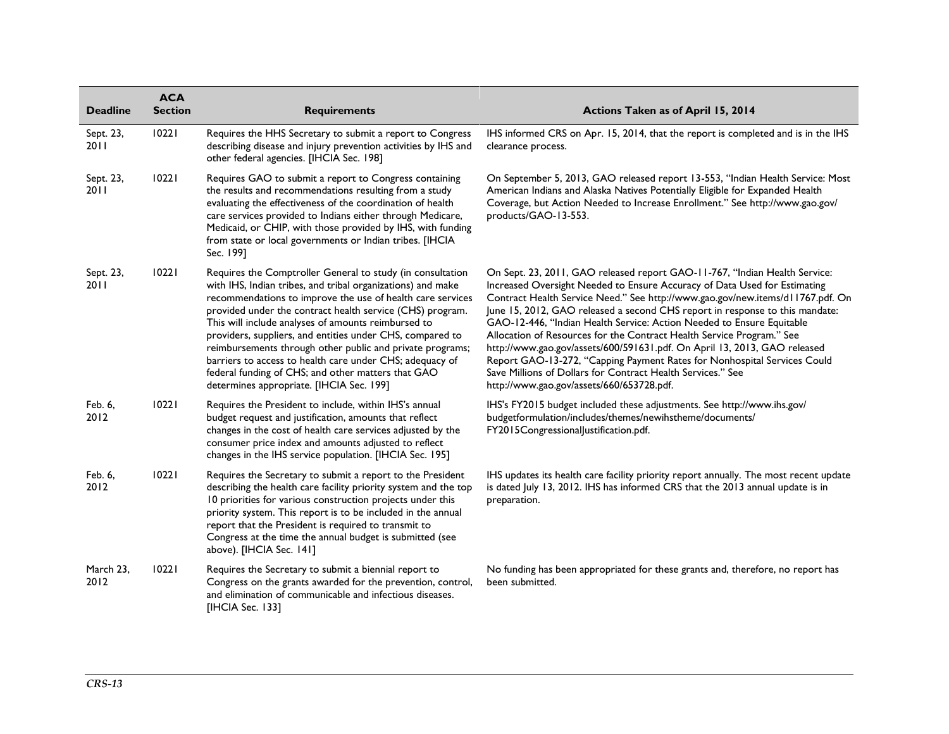| <b>Deadline</b>   | <b>ACA</b><br><b>Section</b> | <b>Requirements</b>                                                                                                                                                                                                                                                                                                                                                                                                                                                                                                                                                                                 | Actions Taken as of April 15, 2014                                                                                                                                                                                                                                                                                                                                                                                                                                                                                                                                                                                                                                                                                                               |
|-------------------|------------------------------|-----------------------------------------------------------------------------------------------------------------------------------------------------------------------------------------------------------------------------------------------------------------------------------------------------------------------------------------------------------------------------------------------------------------------------------------------------------------------------------------------------------------------------------------------------------------------------------------------------|--------------------------------------------------------------------------------------------------------------------------------------------------------------------------------------------------------------------------------------------------------------------------------------------------------------------------------------------------------------------------------------------------------------------------------------------------------------------------------------------------------------------------------------------------------------------------------------------------------------------------------------------------------------------------------------------------------------------------------------------------|
| Sept. 23,<br>2011 | 10221                        | Requires the HHS Secretary to submit a report to Congress<br>describing disease and injury prevention activities by IHS and<br>other federal agencies. [IHCIA Sec. 198]                                                                                                                                                                                                                                                                                                                                                                                                                             | IHS informed CRS on Apr. 15, 2014, that the report is completed and is in the IHS<br>clearance process.                                                                                                                                                                                                                                                                                                                                                                                                                                                                                                                                                                                                                                          |
| Sept. 23,<br>2011 | 10221                        | Requires GAO to submit a report to Congress containing<br>the results and recommendations resulting from a study<br>evaluating the effectiveness of the coordination of health<br>care services provided to Indians either through Medicare,<br>Medicaid, or CHIP, with those provided by IHS, with funding<br>from state or local governments or Indian tribes. [IHCIA<br>Sec. 199]                                                                                                                                                                                                                | On September 5, 2013, GAO released report 13-553, "Indian Health Service: Most<br>American Indians and Alaska Natives Potentially Eligible for Expanded Health<br>Coverage, but Action Needed to Increase Enrollment." See http://www.gao.gov/<br>products/GAO-13-553.                                                                                                                                                                                                                                                                                                                                                                                                                                                                           |
| Sept. 23,<br>2011 | 10221                        | Requires the Comptroller General to study (in consultation<br>with IHS, Indian tribes, and tribal organizations) and make<br>recommendations to improve the use of health care services<br>provided under the contract health service (CHS) program.<br>This will include analyses of amounts reimbursed to<br>providers, suppliers, and entities under CHS, compared to<br>reimbursements through other public and private programs;<br>barriers to access to health care under CHS; adequacy of<br>federal funding of CHS; and other matters that GAO<br>determines appropriate. [IHCIA Sec. 199] | On Sept. 23, 2011, GAO released report GAO-11-767, "Indian Health Service:<br>Increased Oversight Needed to Ensure Accuracy of Data Used for Estimating<br>Contract Health Service Need." See http://www.gao.gov/new.items/d11767.pdf. On<br>June 15, 2012, GAO released a second CHS report in response to this mandate:<br>GAO-12-446, "Indian Health Service: Action Needed to Ensure Equitable<br>Allocation of Resources for the Contract Health Service Program." See<br>http://www.gao.gov/assets/600/591631.pdf. On April 13, 2013, GAO released<br>Report GAO-13-272, "Capping Payment Rates for Nonhospital Services Could<br>Save Millions of Dollars for Contract Health Services." See<br>http://www.gao.gov/assets/660/653728.pdf. |
| Feb. 6,<br>2012   | 10221                        | Requires the President to include, within IHS's annual<br>budget request and justification, amounts that reflect<br>changes in the cost of health care services adjusted by the<br>consumer price index and amounts adjusted to reflect<br>changes in the IHS service population. [IHCIA Sec. 195]                                                                                                                                                                                                                                                                                                  | IHS's FY2015 budget included these adjustments. See http://www.ihs.gov/<br>budgetformulation/includes/themes/newihstheme/documents/<br>FY2015CongressionalJustification.pdf.                                                                                                                                                                                                                                                                                                                                                                                                                                                                                                                                                                     |
| Feb. 6,<br>2012   | 10221                        | Requires the Secretary to submit a report to the President<br>describing the health care facility priority system and the top<br>10 priorities for various construction projects under this<br>priority system. This report is to be included in the annual<br>report that the President is required to transmit to<br>Congress at the time the annual budget is submitted (see<br>above). [IHCIA Sec. 141]                                                                                                                                                                                         | IHS updates its health care facility priority report annually. The most recent update<br>is dated July 13, 2012. IHS has informed CRS that the 2013 annual update is in<br>preparation.                                                                                                                                                                                                                                                                                                                                                                                                                                                                                                                                                          |
| March 23,<br>2012 | 10221                        | Requires the Secretary to submit a biennial report to<br>Congress on the grants awarded for the prevention, control,<br>and elimination of communicable and infectious diseases.<br>[IHCIA Sec. 133]                                                                                                                                                                                                                                                                                                                                                                                                | No funding has been appropriated for these grants and, therefore, no report has<br>been submitted.                                                                                                                                                                                                                                                                                                                                                                                                                                                                                                                                                                                                                                               |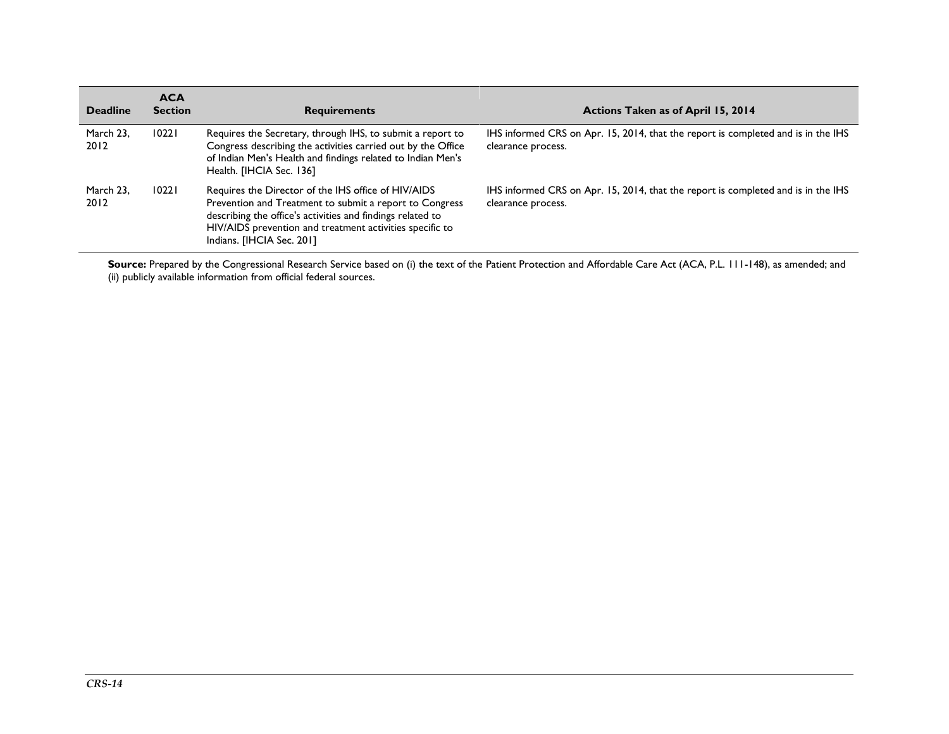| <b>Deadline</b>   | <b>ACA</b><br><b>Section</b> | <b>Requirements</b>                                                                                                                                                                                                                                                   | Actions Taken as of April 15, 2014                                                                      |
|-------------------|------------------------------|-----------------------------------------------------------------------------------------------------------------------------------------------------------------------------------------------------------------------------------------------------------------------|---------------------------------------------------------------------------------------------------------|
| March 23,<br>2012 | 10221                        | Requires the Secretary, through IHS, to submit a report to<br>Congress describing the activities carried out by the Office<br>of Indian Men's Health and findings related to Indian Men's<br>Health. [IHCIA Sec. 136]                                                 | IHS informed CRS on Apr. 15, 2014, that the report is completed and is in the IHS<br>clearance process. |
| March 23,<br>2012 | 10221                        | Requires the Director of the IHS office of HIV/AIDS<br>Prevention and Treatment to submit a report to Congress<br>describing the office's activities and findings related to<br>HIV/AIDS prevention and treatment activities specific to<br>Indians. [IHCIA Sec. 201] | IHS informed CRS on Apr. 15, 2014, that the report is completed and is in the IHS<br>clearance process. |

Source: Prepared by the Congressional Research Service based on (i) the text of the Patient Protection and Affordable Care Act (ACA, P.L. 111-148), as amended; and (ii) publicly available information from official federal sources.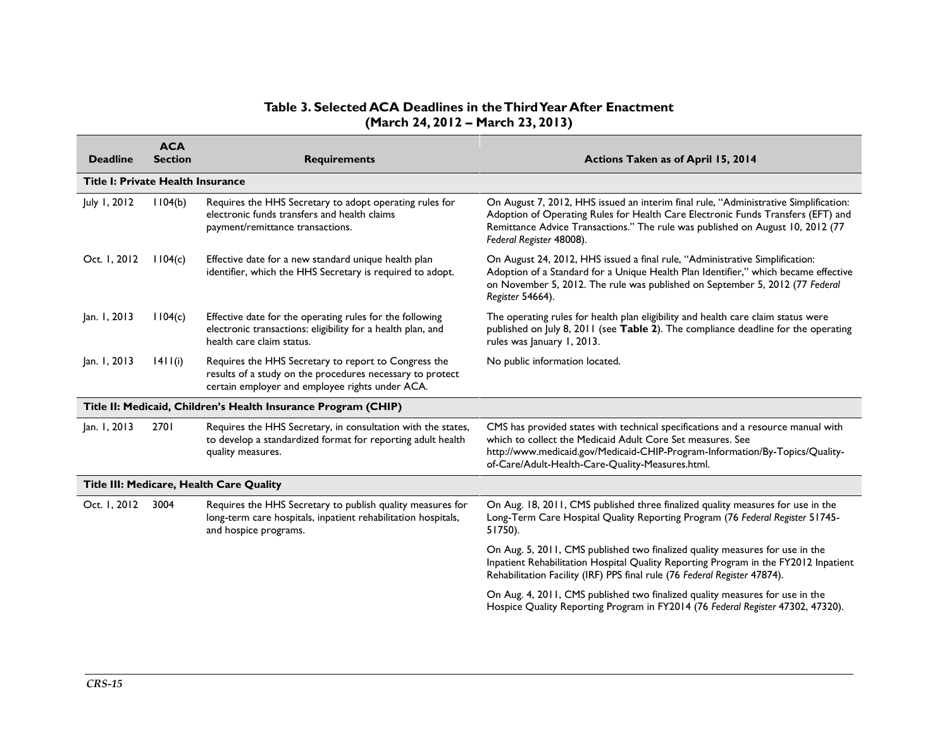## **Table 3. Selected ACA Deadlines in the Third Year After Enactment (March 24, 2012 – March 23, 2013)**

| <b>Deadline</b>                                                | <b>ACA</b><br><b>Section</b> | <b>Requirements</b>                                                                                                                                                  | Actions Taken as of April 15, 2014                                                                                                                                                                                                                                                     |  |  |  |
|----------------------------------------------------------------|------------------------------|----------------------------------------------------------------------------------------------------------------------------------------------------------------------|----------------------------------------------------------------------------------------------------------------------------------------------------------------------------------------------------------------------------------------------------------------------------------------|--|--|--|
| Title I: Private Health Insurance                              |                              |                                                                                                                                                                      |                                                                                                                                                                                                                                                                                        |  |  |  |
| July 1, 2012                                                   | 1104(b)                      | Requires the HHS Secretary to adopt operating rules for<br>electronic funds transfers and health claims<br>payment/remittance transactions.                          | On August 7, 2012, HHS issued an interim final rule, "Administrative Simplification:<br>Adoption of Operating Rules for Health Care Electronic Funds Transfers (EFT) and<br>Remittance Advice Transactions." The rule was published on August 10, 2012 (77<br>Federal Register 48008). |  |  |  |
| Oct. 1, 2012                                                   | 1104(c)                      | Effective date for a new standard unique health plan<br>identifier, which the HHS Secretary is required to adopt.                                                    | On August 24, 2012, HHS issued a final rule, "Administrative Simplification:<br>Adoption of a Standard for a Unique Health Plan Identifier," which became effective<br>on November 5, 2012. The rule was published on September 5, 2012 (77 Federal<br>Register 54664).                |  |  |  |
| Jan. 1, 2013                                                   | 1104(c)                      | Effective date for the operating rules for the following<br>electronic transactions: eligibility for a health plan, and<br>health care claim status.                 | The operating rules for health plan eligibility and health care claim status were<br>published on July 8, 2011 (see Table 2). The compliance deadline for the operating<br>rules was January 1, 2013.                                                                                  |  |  |  |
| Jan. 1, 2013                                                   | 1411(i)                      | Requires the HHS Secretary to report to Congress the<br>results of a study on the procedures necessary to protect<br>certain employer and employee rights under ACA. | No public information located.                                                                                                                                                                                                                                                         |  |  |  |
| Title II: Medicaid, Children's Health Insurance Program (CHIP) |                              |                                                                                                                                                                      |                                                                                                                                                                                                                                                                                        |  |  |  |
| Jan. 1, 2013                                                   | 2701                         | Requires the HHS Secretary, in consultation with the states,<br>to develop a standardized format for reporting adult health<br>quality measures.                     | CMS has provided states with technical specifications and a resource manual with<br>which to collect the Medicaid Adult Core Set measures. See<br>http://www.medicaid.gov/Medicaid-CHIP-Program-Information/By-Topics/Quality-<br>of-Care/Adult-Health-Care-Quality-Measures.html.     |  |  |  |
| Title III: Medicare, Health Care Quality                       |                              |                                                                                                                                                                      |                                                                                                                                                                                                                                                                                        |  |  |  |
| Oct. 1, 2012                                                   | 3004                         | Requires the HHS Secretary to publish quality measures for<br>long-term care hospitals, inpatient rehabilitation hospitals,<br>and hospice programs.                 | On Aug. 18, 2011, CMS published three finalized quality measures for use in the<br>Long-Term Care Hospital Quality Reporting Program (76 Federal Register 51745-<br>51750).                                                                                                            |  |  |  |
|                                                                |                              |                                                                                                                                                                      | On Aug. 5, 2011, CMS published two finalized quality measures for use in the<br>Inpatient Rehabilitation Hospital Quality Reporting Program in the FY2012 Inpatient<br>Rehabilitation Facility (IRF) PPS final rule (76 Federal Register 47874).                                       |  |  |  |
|                                                                |                              |                                                                                                                                                                      | On Aug. 4, 2011, CMS published two finalized quality measures for use in the<br>Hospice Quality Reporting Program in FY2014 (76 Federal Register 47302, 47320).                                                                                                                        |  |  |  |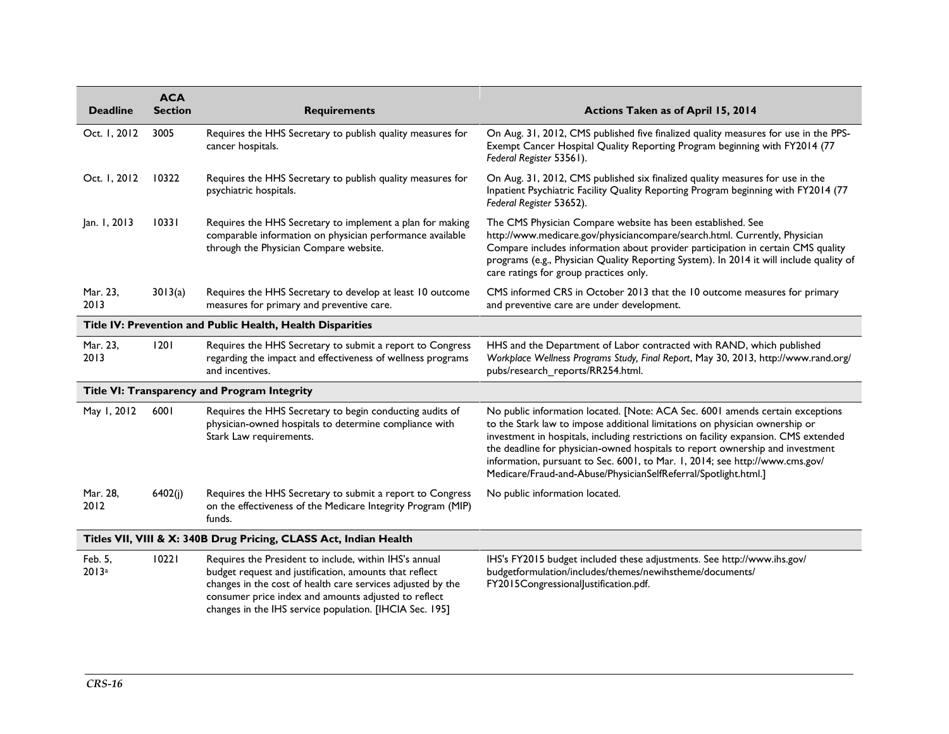| <b>Deadline</b>                                                   | <b>ACA</b><br><b>Section</b> | <b>Requirements</b>                                                                                                                                                                                                                                                                                | Actions Taken as of April 15, 2014                                                                                                                                                                                                                                                                                                                                                                                                                                                      |  |  |
|-------------------------------------------------------------------|------------------------------|----------------------------------------------------------------------------------------------------------------------------------------------------------------------------------------------------------------------------------------------------------------------------------------------------|-----------------------------------------------------------------------------------------------------------------------------------------------------------------------------------------------------------------------------------------------------------------------------------------------------------------------------------------------------------------------------------------------------------------------------------------------------------------------------------------|--|--|
| Oct. 1, 2012                                                      | 3005                         | Requires the HHS Secretary to publish quality measures for<br>cancer hospitals.                                                                                                                                                                                                                    | On Aug. 31, 2012, CMS published five finalized quality measures for use in the PPS-<br>Exempt Cancer Hospital Quality Reporting Program beginning with FY2014 (77<br>Federal Register 53561).                                                                                                                                                                                                                                                                                           |  |  |
| Oct. 1, 2012                                                      | 10322                        | Requires the HHS Secretary to publish quality measures for<br>psychiatric hospitals.                                                                                                                                                                                                               | On Aug. 31, 2012, CMS published six finalized quality measures for use in the<br>Inpatient Psychiatric Facility Quality Reporting Program beginning with FY2014 (77<br>Federal Register 53652).                                                                                                                                                                                                                                                                                         |  |  |
| Jan. 1, 2013                                                      | 10331                        | Requires the HHS Secretary to implement a plan for making<br>comparable information on physician performance available<br>through the Physician Compare website.                                                                                                                                   | The CMS Physician Compare website has been established. See<br>http://www.medicare.gov/physiciancompare/search.html. Currently, Physician<br>Compare includes information about provider participation in certain CMS quality<br>programs (e.g., Physician Quality Reporting System). In 2014 it will include quality of<br>care ratings for group practices only.                                                                                                                      |  |  |
| Mar. 23,<br>2013                                                  | 3013(a)                      | Requires the HHS Secretary to develop at least 10 outcome<br>measures for primary and preventive care.                                                                                                                                                                                             | CMS informed CRS in October 2013 that the 10 outcome measures for primary<br>and preventive care are under development.                                                                                                                                                                                                                                                                                                                                                                 |  |  |
| Title IV: Prevention and Public Health, Health Disparities        |                              |                                                                                                                                                                                                                                                                                                    |                                                                                                                                                                                                                                                                                                                                                                                                                                                                                         |  |  |
| Mar. 23,<br>2013                                                  | 1201                         | Requires the HHS Secretary to submit a report to Congress<br>regarding the impact and effectiveness of wellness programs<br>and incentives.                                                                                                                                                        | HHS and the Department of Labor contracted with RAND, which published<br>Workplace Wellness Programs Study, Final Report, May 30, 2013, http://www.rand.org/<br>pubs/research reports/RR254.html.                                                                                                                                                                                                                                                                                       |  |  |
| Title VI: Transparency and Program Integrity                      |                              |                                                                                                                                                                                                                                                                                                    |                                                                                                                                                                                                                                                                                                                                                                                                                                                                                         |  |  |
| May 1, 2012                                                       | 6001                         | Requires the HHS Secretary to begin conducting audits of<br>physician-owned hospitals to determine compliance with<br>Stark Law requirements.                                                                                                                                                      | No public information located. [Note: ACA Sec. 6001 amends certain exceptions<br>to the Stark law to impose additional limitations on physician ownership or<br>investment in hospitals, including restrictions on facility expansion. CMS extended<br>the deadline for physician-owned hospitals to report ownership and investment<br>information, pursuant to Sec. 6001, to Mar. 1, 2014; see http://www.cms.gov/<br>Medicare/Fraud-and-Abuse/PhysicianSelfReferral/Spotlight.html.] |  |  |
| Mar. 28,<br>2012                                                  | 6402(j)                      | Requires the HHS Secretary to submit a report to Congress<br>on the effectiveness of the Medicare Integrity Program (MIP)<br>funds.                                                                                                                                                                | No public information located.                                                                                                                                                                                                                                                                                                                                                                                                                                                          |  |  |
| Titles VII, VIII & X: 340B Drug Pricing, CLASS Act, Indian Health |                              |                                                                                                                                                                                                                                                                                                    |                                                                                                                                                                                                                                                                                                                                                                                                                                                                                         |  |  |
| Feb. 5,<br>2013a                                                  | 10221                        | Requires the President to include, within IHS's annual<br>budget request and justification, amounts that reflect<br>changes in the cost of health care services adjusted by the<br>consumer price index and amounts adjusted to reflect<br>changes in the IHS service population. [IHCIA Sec. 195] | IHS's FY2015 budget included these adjustments. See http://www.ihs.gov/<br>budgetformulation/includes/themes/newihstheme/documents/<br>FY2015CongressionalJustification.pdf.                                                                                                                                                                                                                                                                                                            |  |  |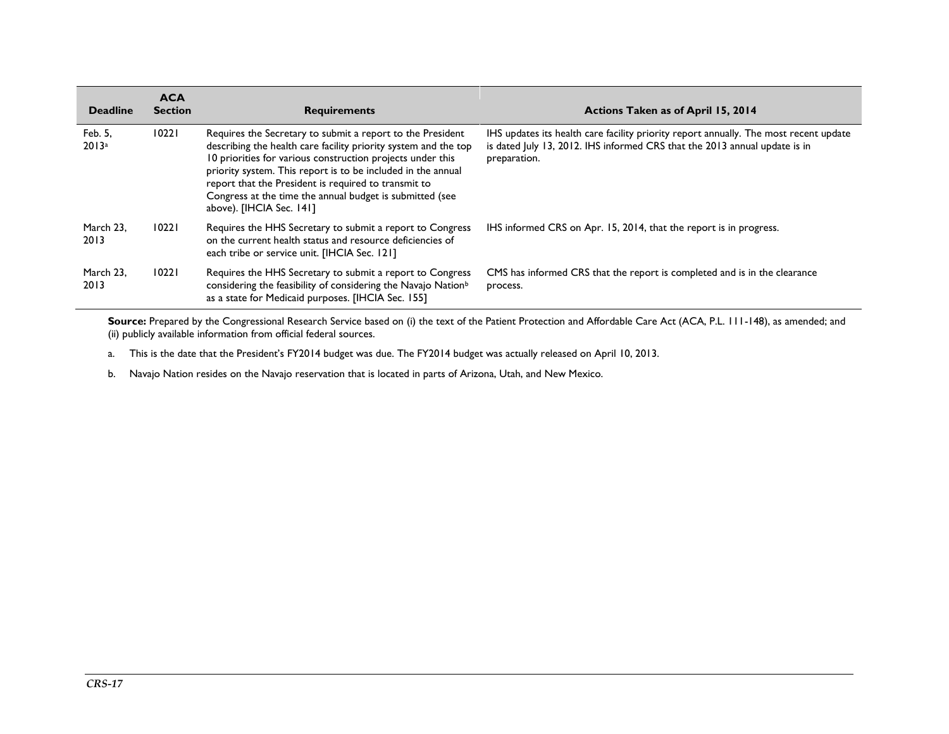| <b>Deadline</b>   | <b>ACA</b><br><b>Section</b> | <b>Requirements</b>                                                                                                                                                                                                                                                                                                                                                                                         | <b>Actions Taken as of April 15, 2014</b>                                                                                                                                           |
|-------------------|------------------------------|-------------------------------------------------------------------------------------------------------------------------------------------------------------------------------------------------------------------------------------------------------------------------------------------------------------------------------------------------------------------------------------------------------------|-------------------------------------------------------------------------------------------------------------------------------------------------------------------------------------|
| Feb. 5,<br>2013a  | 10221                        | Requires the Secretary to submit a report to the President<br>describing the health care facility priority system and the top<br>10 priorities for various construction projects under this<br>priority system. This report is to be included in the annual<br>report that the President is required to transmit to<br>Congress at the time the annual budget is submitted (see<br>above). [IHCIA Sec. 141] | IHS updates its health care facility priority report annually. The most recent update<br>is dated July 13, 2012. IHS informed CRS that the 2013 annual update is in<br>preparation. |
| March 23.<br>2013 | 10221                        | Requires the HHS Secretary to submit a report to Congress<br>on the current health status and resource deficiencies of<br>each tribe or service unit. [IHCIA Sec. 121]                                                                                                                                                                                                                                      | IHS informed CRS on Apr. 15, 2014, that the report is in progress.                                                                                                                  |
| March 23.<br>2013 | 10221                        | Requires the HHS Secretary to submit a report to Congress<br>considering the feasibility of considering the Navajo Nation <sup>b</sup><br>as a state for Medicaid purposes. [IHCIA Sec. 155]                                                                                                                                                                                                                | CMS has informed CRS that the report is completed and is in the clearance<br>process.                                                                                               |

Source: Prepared by the Congressional Research Service based on (i) the text of the Patient Protection and Affordable Care Act (ACA, P.L. 111-148), as amended; and (ii) publicly available information from official federal sources.

<span id="page-16-0"></span>a. This is the date that the President's FY2014 budget was due. The FY2014 budget was actually released on April 10, 2013.

<span id="page-16-1"></span>b. Navajo Nation resides on the Navajo reservation that is located in parts of Arizona, Utah, and New Mexico.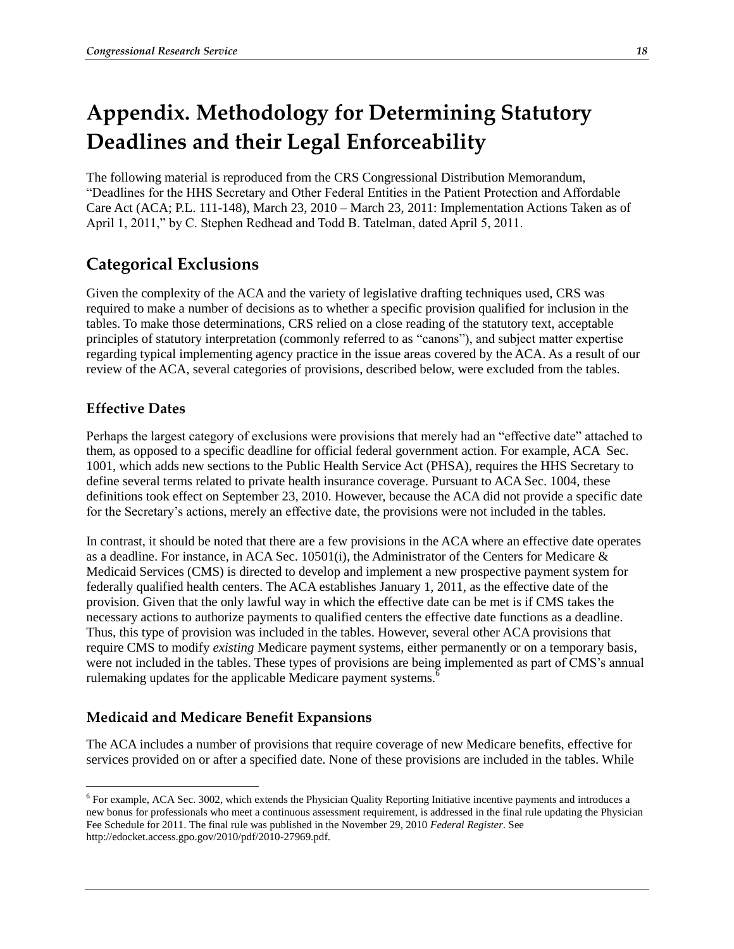# <span id="page-17-0"></span>**Appendix. Methodology for Determining Statutory Deadlines and their Legal Enforceability**

The following material is reproduced from the CRS Congressional Distribution Memorandum, "Deadlines for the HHS Secretary and Other Federal Entities in the Patient Protection and Affordable Care Act (ACA; P.L. 111-148), March 23, 2010 – March 23, 2011: Implementation Actions Taken as of April 1, 2011," by C. Stephen Redhead and Todd B. Tatelman, dated April 5, 2011.

# **Categorical Exclusions**

Given the complexity of the ACA and the variety of legislative drafting techniques used, CRS was required to make a number of decisions as to whether a specific provision qualified for inclusion in the tables. To make those determinations, CRS relied on a close reading of the statutory text, acceptable principles of statutory interpretation (commonly referred to as "canons"), and subject matter expertise regarding typical implementing agency practice in the issue areas covered by the ACA. As a result of our review of the ACA, several categories of provisions, described below, were excluded from the tables.

## **Effective Dates**

 $\overline{a}$ 

Perhaps the largest category of exclusions were provisions that merely had an "effective date" attached to them, as opposed to a specific deadline for official federal government action. For example, ACA Sec. 1001, which adds new sections to the Public Health Service Act (PHSA), requires the HHS Secretary to define several terms related to private health insurance coverage. Pursuant to ACA Sec. 1004, these definitions took effect on September 23, 2010. However, because the ACA did not provide a specific date for the Secretary's actions, merely an effective date, the provisions were not included in the tables.

In contrast, it should be noted that there are a few provisions in the ACA where an effective date operates as a deadline. For instance, in ACA Sec. 10501(i), the Administrator of the Centers for Medicare & Medicaid Services (CMS) is directed to develop and implement a new prospective payment system for federally qualified health centers. The ACA establishes January 1, 2011, as the effective date of the provision. Given that the only lawful way in which the effective date can be met is if CMS takes the necessary actions to authorize payments to qualified centers the effective date functions as a deadline. Thus, this type of provision was included in the tables. However, several other ACA provisions that require CMS to modify *existing* Medicare payment systems, either permanently or on a temporary basis, were not included in the tables. These types of provisions are being implemented as part of CMS's annual rulemaking updates for the applicable Medicare payment systems.<sup>6</sup>

## **Medicaid and Medicare Benefit Expansions**

The ACA includes a number of provisions that require coverage of new Medicare benefits, effective for services provided on or after a specified date. None of these provisions are included in the tables. While

<sup>&</sup>lt;sup>6</sup> For example, ACA Sec. 3002, which extends the Physician Quality Reporting Initiative incentive payments and introduces a new bonus for professionals who meet a continuous assessment requirement, is addressed in the final rule updating the Physician Fee Schedule for 2011. The final rule was published in the November 29, 2010 *Federal Register*. See http://edocket.access.gpo.gov/2010/pdf/2010-27969.pdf.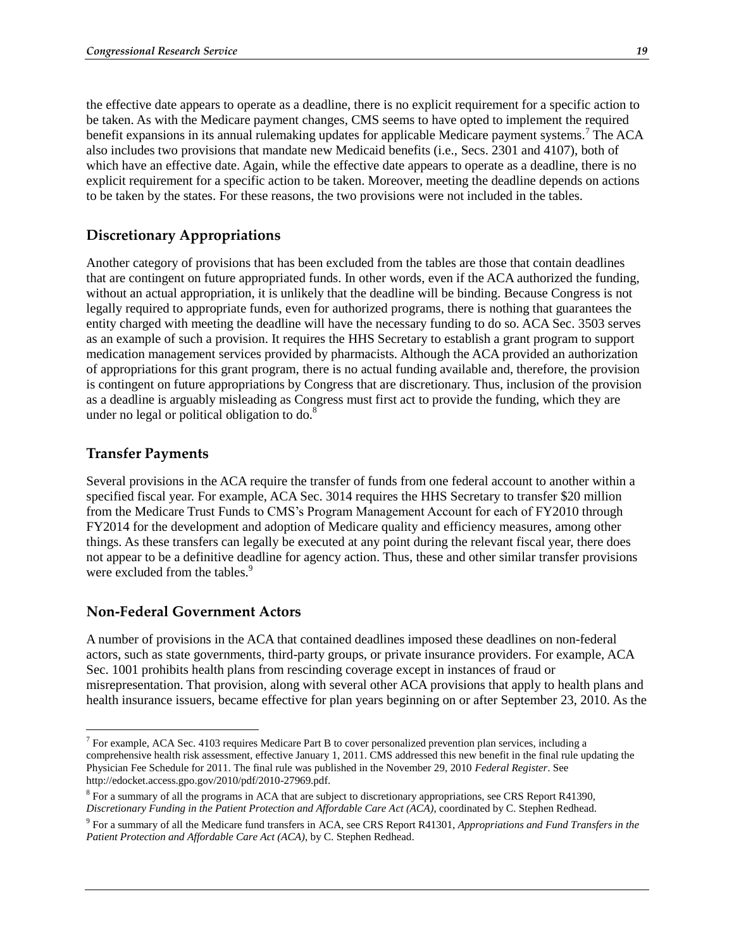the effective date appears to operate as a deadline, there is no explicit requirement for a specific action to be taken. As with the Medicare payment changes, CMS seems to have opted to implement the required benefit expansions in its annual rulemaking updates for applicable Medicare payment systems.<sup>7</sup> The ACA also includes two provisions that mandate new Medicaid benefits (i.e., Secs. 2301 and 4107), both of which have an effective date. Again, while the effective date appears to operate as a deadline, there is no explicit requirement for a specific action to be taken. Moreover, meeting the deadline depends on actions to be taken by the states. For these reasons, the two provisions were not included in the tables.

## **Discretionary Appropriations**

Another category of provisions that has been excluded from the tables are those that contain deadlines that are contingent on future appropriated funds. In other words, even if the ACA authorized the funding, without an actual appropriation, it is unlikely that the deadline will be binding. Because Congress is not legally required to appropriate funds, even for authorized programs, there is nothing that guarantees the entity charged with meeting the deadline will have the necessary funding to do so. ACA Sec. 3503 serves as an example of such a provision. It requires the HHS Secretary to establish a grant program to support medication management services provided by pharmacists. Although the ACA provided an authorization of appropriations for this grant program, there is no actual funding available and, therefore, the provision is contingent on future appropriations by Congress that are discretionary. Thus, inclusion of the provision as a deadline is arguably misleading as Congress must first act to provide the funding, which they are under no legal or political obligation to  $do.<sup>8</sup>$ 

#### **Transfer Payments**

 $\overline{a}$ 

Several provisions in the ACA require the transfer of funds from one federal account to another within a specified fiscal year. For example, ACA Sec. 3014 requires the HHS Secretary to transfer \$20 million from the Medicare Trust Funds to CMS's Program Management Account for each of FY2010 through FY2014 for the development and adoption of Medicare quality and efficiency measures, among other things. As these transfers can legally be executed at any point during the relevant fiscal year, there does not appear to be a definitive deadline for agency action. Thus, these and other similar transfer provisions were excluded from the tables.<sup>9</sup>

#### **Non-Federal Government Actors**

A number of provisions in the ACA that contained deadlines imposed these deadlines on non-federal actors, such as state governments, third-party groups, or private insurance providers. For example, ACA Sec. 1001 prohibits health plans from rescinding coverage except in instances of fraud or misrepresentation. That provision, along with several other ACA provisions that apply to health plans and health insurance issuers, became effective for plan years beginning on or after September 23, 2010. As the

 $^7$  For example, ACA Sec. 4103 requires Medicare Part B to cover personalized prevention plan services, including a comprehensive health risk assessment, effective January 1, 2011. CMS addressed this new benefit in the final rule updating the Physician Fee Schedule for 2011. The final rule was published in the November 29, 2010 *Federal Register*. See http://edocket.access.gpo.gov/2010/pdf/2010-27969.pdf.

<sup>&</sup>lt;sup>8</sup> For a summary of all the programs in ACA that are subject to discretionary appropriations, see CRS Report R41390, *[Discretionary Funding in the Patient Protection and Affordable Care Act \(ACA\)](http://www.crs.gov/pages/Reports.aspx?PRODCODE=R41390)*, coordinated by C. Stephen Redhead.

<sup>9</sup> For a summary of all the Medicare fund transfers in ACA, see CRS Report R41301, *Appropriations and Fund Transfers in the Patient Protection and Affordable Care Act (ACA)*, by C. Stephen Redhead.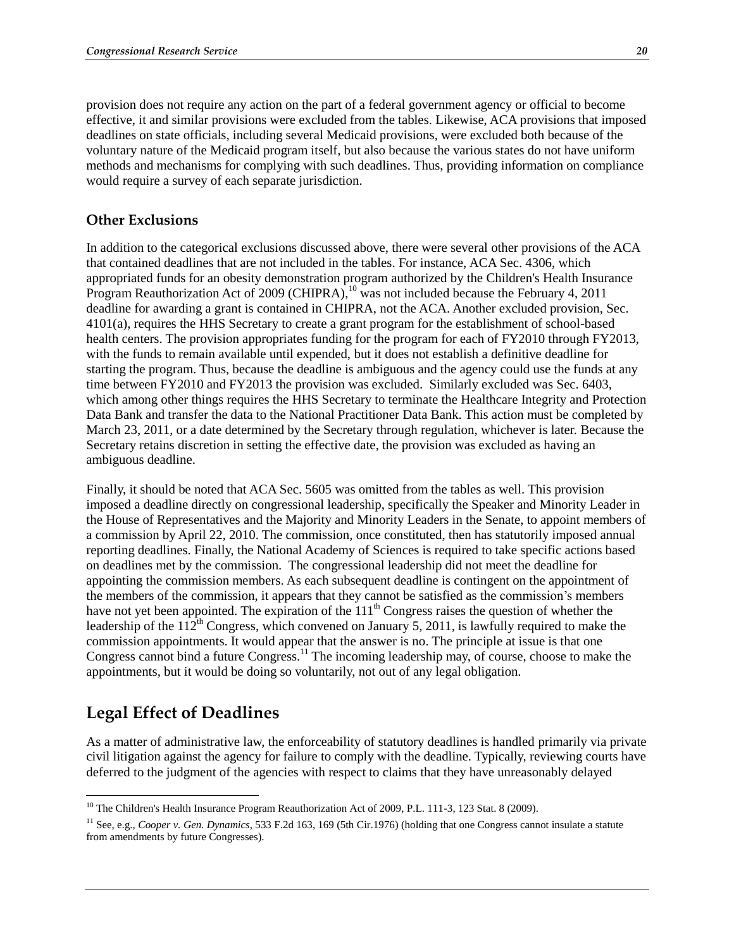provision does not require any action on the part of a federal government agency or official to become effective, it and similar provisions were excluded from the tables. Likewise, ACA provisions that imposed deadlines on state officials, including several Medicaid provisions, were excluded both because of the voluntary nature of the Medicaid program itself, but also because the various states do not have uniform methods and mechanisms for complying with such deadlines. Thus, providing information on compliance would require a survey of each separate jurisdiction.

#### **Other Exclusions**

In addition to the categorical exclusions discussed above, there were several other provisions of the ACA that contained deadlines that are not included in the tables. For instance, ACA Sec. 4306, which appropriated funds for an obesity demonstration program authorized by the Children's Health Insurance Program Reauthorization Act of 2009 (CHIPRA),  $^{10}$  was not included because the February 4, 2011 deadline for awarding a grant is contained in CHIPRA, not the ACA. Another excluded provision, Sec. 4101(a), requires the HHS Secretary to create a grant program for the establishment of school-based health centers. The provision appropriates funding for the program for each of FY2010 through FY2013, with the funds to remain available until expended, but it does not establish a definitive deadline for starting the program. Thus, because the deadline is ambiguous and the agency could use the funds at any time between FY2010 and FY2013 the provision was excluded. Similarly excluded was Sec. 6403, which among other things requires the HHS Secretary to terminate the Healthcare Integrity and Protection Data Bank and transfer the data to the National Practitioner Data Bank. This action must be completed by March 23, 2011, or a date determined by the Secretary through regulation, whichever is later. Because the Secretary retains discretion in setting the effective date, the provision was excluded as having an ambiguous deadline.

Finally, it should be noted that ACA Sec. 5605 was omitted from the tables as well. This provision imposed a deadline directly on congressional leadership, specifically the Speaker and Minority Leader in the House of Representatives and the Majority and Minority Leaders in the Senate, to appoint members of a commission by April 22, 2010. The commission, once constituted, then has statutorily imposed annual reporting deadlines. Finally, the National Academy of Sciences is required to take specific actions based on deadlines met by the commission. The congressional leadership did not meet the deadline for appointing the commission members. As each subsequent deadline is contingent on the appointment of the members of the commission, it appears that they cannot be satisfied as the commission's members have not yet been appointed. The expiration of the 111<sup>th</sup> Congress raises the question of whether the leadership of the  $112<sup>th</sup>$  Congress, which convened on January 5, 2011, is lawfully required to make the commission appointments. It would appear that the answer is no. The principle at issue is that one Congress cannot bind a future Congress.<sup>11</sup> The incoming leadership may, of course, choose to make the appointments, but it would be doing so voluntarily, not out of any legal obligation.

## **Legal Effect of Deadlines**

 $\overline{a}$ 

As a matter of administrative law, the enforceability of statutory deadlines is handled primarily via private civil litigation against the agency for failure to comply with the deadline. Typically, reviewing courts have deferred to the judgment of the agencies with respect to claims that they have unreasonably delayed

<sup>&</sup>lt;sup>10</sup> The Children's Health Insurance Program Reauthorization Act of 2009, P.L. 111-3, 123 Stat. 8 (2009).

<sup>11</sup> See, e.g., *Cooper v. Gen. Dynamics*, 533 F.2d 163, 169 (5th Cir.1976) (holding that one Congress cannot insulate a statute from amendments by future Congresses).